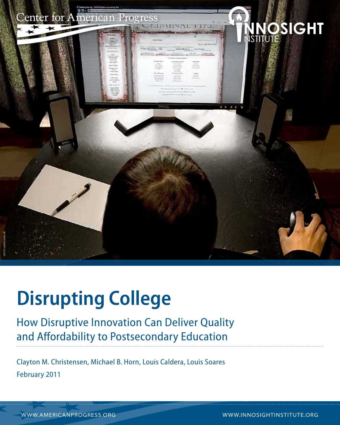

## **Disrupting College**

### How Disruptive Innovation Can Deliver Quality and Affordability to Postsecondary Education

Clayton M. Christensen, Michael B. Horn, Louis Caldera, Louis Soares February 2011

www.americanprogress.org www.innosightinstitute.org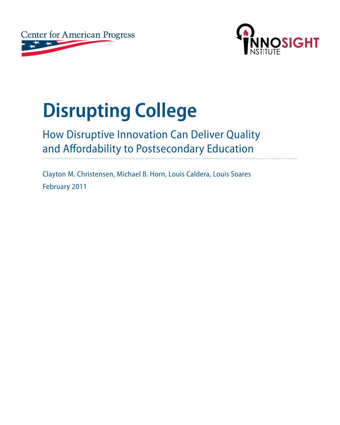



# **Disrupting College**

### How Disruptive Innovation Can Deliver Quality and Affordability to Postsecondary Education

Clayton M. Christensen, Michael B. Horn, Louis Caldera, Louis Soares February 2011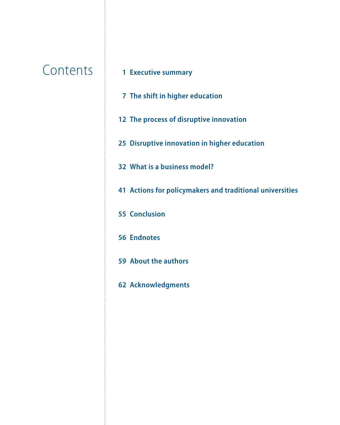### **Contents**

#### **[Executive summary](#page-6-0)**

- **[The shift in higher education](#page-12-0)**
- **[The process of disruptive innovation](#page-17-0)**
- **[Disruptive innovation in higher education](#page-30-0)**
- **[What is a business model?](#page-37-0)**
- **[Actions for policymakers and traditional universities](#page-46-0)**
- **[Conclusion](#page-60-0)**
- **[Endnotes](#page-61-0)**
- **[About the authors](#page-64-0)**
- **[Acknowledgments](#page-67-0)**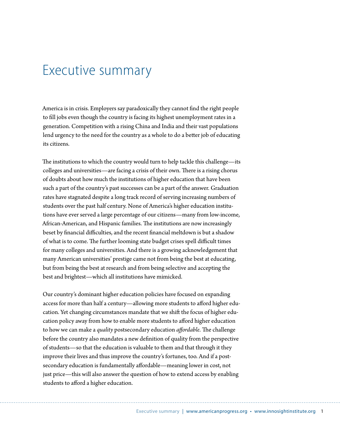### <span id="page-6-0"></span>Executive summary

America is in crisis. Employers say paradoxically they cannot find the right people to fill jobs even though the country is facing its highest unemployment rates in a generation. Competition with a rising China and India and their vast populations lend urgency to the need for the country as a whole to do a better job of educating its citizens.

The institutions to which the country would turn to help tackle this challenge—its colleges and universities—are facing a crisis of their own. There is a rising chorus of doubts about how much the institutions of higher education that have been such a part of the country's past successes can be a part of the answer. Graduation rates have stagnated despite a long track record of serving increasing numbers of students over the past half century. None of America's higher education institutions have ever served a large percentage of our citizens—many from low-income, African-American, and Hispanic families. The institutions are now increasingly beset by financial difficulties, and the recent financial meltdown is but a shadow of what is to come. The further looming state budget crises spell difficult times for many colleges and universities. And there is a growing acknowledgement that many American universities' prestige came not from being the best at educating, but from being the best at research and from being selective and accepting the best and brightest—which all institutions have mimicked.

Our country's dominant higher education policies have focused on expanding access for more than half a century—allowing more students to afford higher education. Yet changing circumstances mandate that we shift the focus of higher education policy away from how to enable more students to afford higher education to how we can make a *quality* postsecondary education *affordable*. The challenge before the country also mandates a new definition of quality from the perspective of students—so that the education is valuable to them and that through it they improve their lives and thus improve the country's fortunes, too. And if a postsecondary education is fundamentally affordable—meaning lower in cost, not just price—this will also answer the question of how to extend access by enabling students to afford a higher education.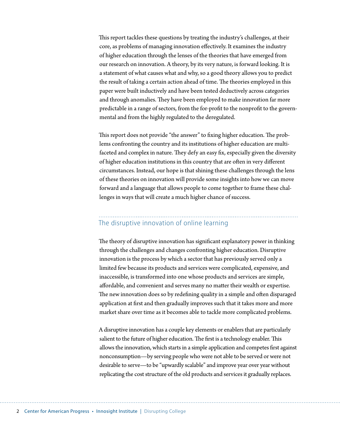This report tackles these questions by treating the industry's challenges, at their core, as problems of managing innovation effectively. It examines the industry of higher education through the lenses of the theories that have emerged from our research on innovation. A theory, by its very nature, is forward looking. It is a statement of what causes what and why, so a good theory allows you to predict the result of taking a certain action ahead of time. The theories employed in this paper were built inductively and have been tested deductively across categories and through anomalies. They have been employed to make innovation far more predictable in a range of sectors, from the for-profit to the nonprofit to the governmental and from the highly regulated to the deregulated.

This report does not provide "the answer" to fixing higher education. The problems confronting the country and its institutions of higher education are multifaceted and complex in nature. They defy an easy fix, especially given the diversity of higher education institutions in this country that are often in very different circumstances. Instead, our hope is that shining these challenges through the lens of these theories on innovation will provide some insights into how we can move forward and a language that allows people to come together to frame these challenges in ways that will create a much higher chance of success.

### The disruptive innovation of online learning

The theory of disruptive innovation has significant explanatory power in thinking through the challenges and changes confronting higher education. Disruptive innovation is the process by which a sector that has previously served only a limited few because its products and services were complicated, expensive, and inaccessible, is transformed into one whose products and services are simple, affordable, and convenient and serves many no matter their wealth or expertise. The new innovation does so by redefining quality in a simple and often disparaged application at first and then gradually improves such that it takes more and more market share over time as it becomes able to tackle more complicated problems.

A disruptive innovation has a couple key elements or enablers that are particularly salient to the future of higher education. The first is a technology enabler. This allows the innovation, which starts in a simple application and competes first against nonconsumption—by serving people who were not able to be served or were not desirable to serve—to be "upwardly scalable" and improve year over year without replicating the cost structure of the old products and services it gradually replaces.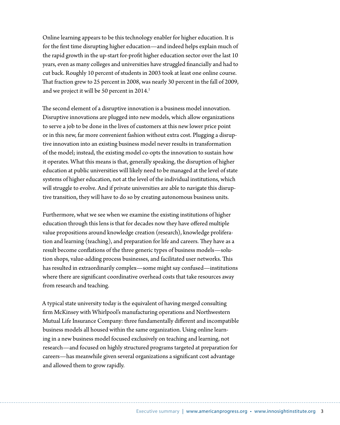Online learning appears to be this technology enabler for higher education. It is for the first time disrupting higher education—and indeed helps explain much of the rapid growth in the up-start for-profit higher education sector over the last 10 years, even as many colleges and universities have struggled financially and had to cut back. Roughly 10 percent of students in 2003 took at least one online course. That fraction grew to 25 percent in 2008, was nearly 30 percent in the fall of 2009, and we project it will be 50 percent in 2014.<sup>1</sup>

The second element of a disruptive innovation is a business model innovation. Disruptive innovations are plugged into new models, which allow organizations to serve a job to be done in the lives of customers at this new lower price point or in this new, far more convenient fashion without extra cost. Plugging a disruptive innovation into an existing business model never results in transformation of the model; instead, the existing model co-opts the innovation to sustain how it operates. What this means is that, generally speaking, the disruption of higher education at public universities will likely need to be managed at the level of state systems of higher education, not at the level of the individual institutions, which will struggle to evolve. And if private universities are able to navigate this disruptive transition, they will have to do so by creating autonomous business units.

Furthermore, what we see when we examine the existing institutions of higher education through this lens is that for decades now they have offered multiple value propositions around knowledge creation (research), knowledge proliferation and learning (teaching), and preparation for life and careers. They have as a result become conflations of the three generic types of business models—solution shops, value-adding process businesses, and facilitated user networks. This has resulted in extraordinarily complex—some might say confused—institutions where there are significant coordinative overhead costs that take resources away from research and teaching.

A typical state university today is the equivalent of having merged consulting firm McKinsey with Whirlpool's manufacturing operations and Northwestern Mutual Life Insurance Company: three fundamentally different and incompatible business models all housed within the same organization. Using online learning in a new business model focused exclusively on teaching and learning, not research—and focused on highly structured programs targeted at preparation for careers—has meanwhile given several organizations a significant cost advantage and allowed them to grow rapidly.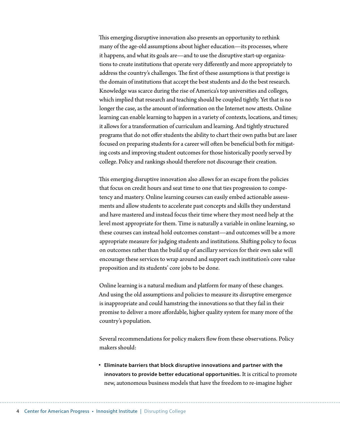This emerging disruptive innovation also presents an opportunity to rethink many of the age-old assumptions about higher education—its processes, where it happens, and what its goals are—and to use the disruptive start-up organizations to create institutions that operate very differently and more appropriately to address the country's challenges. The first of these assumptions is that prestige is the domain of institutions that accept the best students and do the best research. Knowledge was scarce during the rise of America's top universities and colleges, which implied that research and teaching should be coupled tightly. Yet that is no longer the case, as the amount of information on the Internet now attests. Online learning can enable learning to happen in a variety of contexts, locations, and times; it allows for a transformation of curriculum and learning. And tightly structured programs that do not offer students the ability to chart their own paths but are laser focused on preparing students for a career will often be beneficial both for mitigating costs and improving student outcomes for those historically poorly served by college. Policy and rankings should therefore not discourage their creation.

This emerging disruptive innovation also allows for an escape from the policies that focus on credit hours and seat time to one that ties progression to competency and mastery. Online learning courses can easily embed actionable assessments and allow students to accelerate past concepts and skills they understand and have mastered and instead focus their time where they most need help at the level most appropriate for them. Time is naturally a variable in online learning, so these courses can instead hold outcomes constant—and outcomes will be a more appropriate measure for judging students and institutions. Shifting policy to focus on outcomes rather than the build up of ancillary services for their own sake will encourage these services to wrap around and support each institution's core value proposition and its students' core jobs to be done.

Online learning is a natural medium and platform for many of these changes. And using the old assumptions and policies to measure its disruptive emergence is inappropriate and could hamstring the innovations so that they fail in their promise to deliver a more affordable, higher quality system for many more of the country's population.

Several recommendations for policy makers flow from these observations. Policy makers should:

• **Eliminate barriers that block disruptive innovations and partner with the innovators to provide better educational opportunities.** It is critical to promote new, autonomous business models that have the freedom to re-imagine higher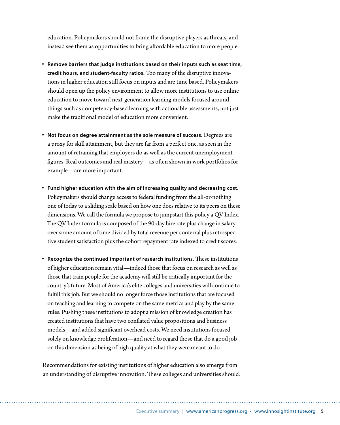education. Policymakers should not frame the disruptive players as threats, and instead see them as opportunities to bring affordable education to more people.

- • **Remove barriers that judge institutions based on their inputs such as seat time, credit hours, and student-faculty ratios.** Too many of the disruptive innovations in higher education still focus on inputs and are time based. Policymakers should open up the policy environment to allow more institutions to use online education to move toward next-generation learning models focused around things such as competency-based learning with actionable assessments, not just make the traditional model of education more convenient.
- • **Not focus on degree attainment as the sole measure of success.** Degrees are a proxy for skill attainment, but they are far from a perfect one, as seen in the amount of retraining that employers do as well as the current unemployment figures. Real outcomes and real mastery—as often shown in work portfolios for example—are more important.
- • **Fund higher education with the aim of increasing quality and decreasing cost.**  Policymakers should change access to federal funding from the all-or-nothing one of today to a sliding scale based on how one does relative to its peers on these dimensions. We call the formula we propose to jumpstart this policy a QV Index. The QV Index formula is composed of the 90-day hire rate plus change in salary over some amount of time divided by total revenue per conferral plus retrospective student satisfaction plus the cohort repayment rate indexed to credit scores.
- • **Recognize the continued important of research institutions.** These institutions of higher education remain vital—indeed those that focus on research as well as those that train people for the academy will still be critically important for the country's future. Most of America's elite colleges and universities will continue to fulfill this job. But we should no longer force those institutions that are focused on teaching and learning to compete on the same metrics and play by the same rules. Pushing these institutions to adopt a mission of knowledge creation has created institutions that have two conflated value propositions and business models—and added significant overhead costs. We need institutions focused solely on knowledge proliferation—and need to regard those that do a good job on this dimension as being of high quality at what they were meant to do.

Recommendations for existing institutions of higher education also emerge from an understanding of disruptive innovation. These colleges and universities should: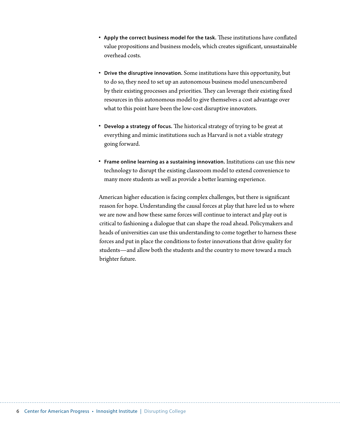- • **Apply the correct business model for the task.** These institutions have conflated value propositions and business models, which creates significant, unsustainable overhead costs.
- • **Drive the disruptive innovation.** Some institutions have this opportunity, but to do so, they need to set up an autonomous business model unencumbered by their existing processes and priorities. They can leverage their existing fixed resources in this autonomous model to give themselves a cost advantage over what to this point have been the low-cost disruptive innovators.
- • **Develop a strategy of focus.** The historical strategy of trying to be great at everything and mimic institutions such as Harvard is not a viable strategy going forward.
- • **Frame online learning as a sustaining innovation.** Institutions can use this new technology to disrupt the existing classroom model to extend convenience to many more students as well as provide a better learning experience.

American higher education is facing complex challenges, but there is significant reason for hope. Understanding the causal forces at play that have led us to where we are now and how these same forces will continue to interact and play out is critical to fashioning a dialogue that can shape the road ahead. Policymakers and heads of universities can use this understanding to come together to harness these forces and put in place the conditions to foster innovations that drive quality for students—and allow both the students and the country to move toward a much brighter future.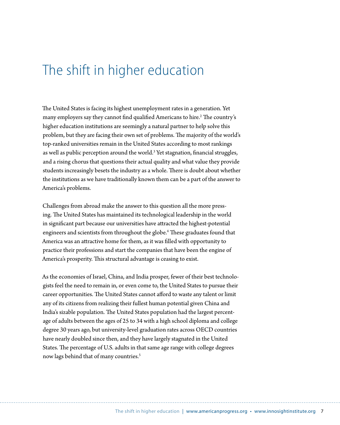### <span id="page-12-0"></span>The shift in higher education

The United States is facing its highest unemployment rates in a generation. Yet many employers say they cannot find qualified Americans to hire.<sup>2</sup> The country's higher education institutions are seemingly a natural partner to help solve this problem, but they are facing their own set of problems. The majority of the world's top-ranked universities remain in the United States according to most rankings as well as public perception around the world.<sup>3</sup> Yet stagnation, financial struggles, and a rising chorus that questions their actual quality and what value they provide students increasingly besets the industry as a whole. There is doubt about whether the institutions as we have traditionally known them can be a part of the answer to America's problems.

Challenges from abroad make the answer to this question all the more pressing. The United States has maintained its technological leadership in the world in significant part because our universities have attracted the highest-potential engineers and scientists from throughout the globe.<sup>4</sup> These graduates found that America was an attractive home for them, as it was filled with opportunity to practice their professions and start the companies that have been the engine of America's prosperity. This structural advantage is ceasing to exist.

As the economies of Israel, China, and India prosper, fewer of their best technologists feel the need to remain in, or even come to, the United States to pursue their career opportunities. The United States cannot afford to waste any talent or limit any of its citizens from realizing their fullest human potential given China and India's sizable population. The United States population had the largest percentage of adults between the ages of 25 to 34 with a high school diploma and college degree 30 years ago, but university-level graduation rates across OECD countries have nearly doubled since then, and they have largely stagnated in the United States. The percentage of U.S. adults in that same age range with college degrees now lags behind that of many countries.<sup>5</sup>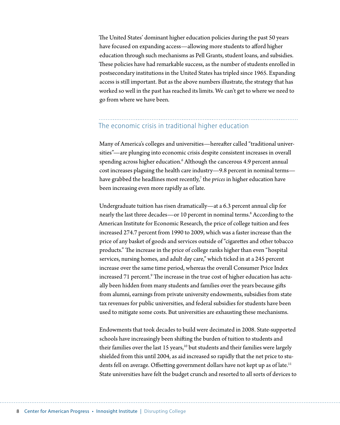The United States' dominant higher education policies during the past 50 years have focused on expanding access—allowing more students to afford higher education through such mechanisms as Pell Grants, student loans, and subsidies. These policies have had remarkable success, as the number of students enrolled in postsecondary institutions in the United States has tripled since 1965. Expanding access is still important. But as the above numbers illustrate, the strategy that has worked so well in the past has reached its limits. We can't get to where we need to go from where we have been.

### The economic crisis in traditional higher education

Many of America's colleges and universities—hereafter called "traditional universities"—are plunging into economic crisis despite consistent increases in overall spending across higher education.<sup>6</sup> Although the cancerous 4.9 percent annual cost increases plaguing the health care industry—9.8 percent in nominal terms have grabbed the headlines most recently,<sup>7</sup> the *prices* in higher education have been increasing even more rapidly as of late.

Undergraduate tuition has risen dramatically—at a 6.3 percent annual clip for nearly the last three decades—or 10 percent in nominal terms.<sup>8</sup> According to the American Institute for Economic Research, the price of college tuition and fees increased 274.7 percent from 1990 to 2009, which was a faster increase than the price of any basket of goods and services outside of "cigarettes and other tobacco products." The increase in the price of college ranks higher than even "hospital services, nursing homes, and adult day care," which ticked in at a 245 percent increase over the same time period, whereas the overall Consumer Price Index increased 71 percent. $^{\rm 9}$  The increase in the true cost of higher education has actually been hidden from many students and families over the years because gifts from alumni, earnings from private university endowments, subsidies from state tax revenues for public universities, and federal subsidies for students have been used to mitigate some costs. But universities are exhausting these mechanisms.

Endowments that took decades to build were decimated in 2008. State-supported schools have increasingly been shifting the burden of tuition to students and their families over the last 15 years,<sup>10</sup> but students and their families were largely shielded from this until 2004, as aid increased so rapidly that the net price to students fell on average. Offsetting government dollars have not kept up as of late.<sup>11</sup> State universities have felt the budget crunch and resorted to all sorts of devices to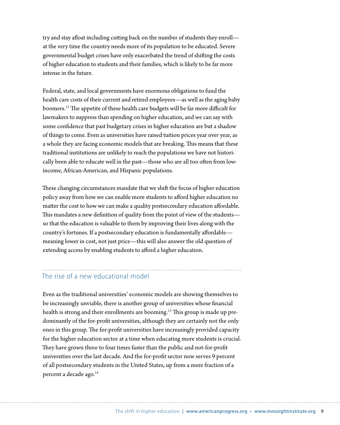try and stay afloat including cutting back on the number of students they enroll at the very time the country needs more of its population to be educated. Severe governmental budget crises have only exacerbated the trend of shifting the costs of higher education to students and their families, which is likely to be far more intense in the future.

Federal, state, and local governments have enormous obligations to fund the health care costs of their current and retired employees—as well as the aging baby boomers.12 The appetite of these health care budgets will be far more difficult for lawmakers to suppress than spending on higher education, and we can say with some confidence that past budgetary crises in higher education are but a shadow of things to come. Even as universities have raised tuition prices year over year, as a whole they are facing economic models that are breaking. This means that these traditional institutions are unlikely to reach the populations we have not historically been able to educate well in the past—those who are all too often from lowincome, African-American, and Hispanic populations.

These changing circumstances mandate that we shift the focus of higher education policy away from how we can enable more students to afford higher education no matter the cost to how we can make a quality postsecondary education affordable. This mandates a new definition of quality from the point of view of the students so that the education is valuable to them by improving their lives along with the country's fortunes. If a postsecondary education is fundamentally affordable meaning lower in cost, not just price—this will also answer the old question of extending access by enabling students to afford a higher education.

#### The rise of a new educational model

Even as the traditional universities' economic models are showing themselves to be increasingly unviable, there is another group of universities whose financial health is strong and their enrollments are booming.<sup>13</sup> This group is made up predominantly of the for-profit universities, although they are certainly not the only ones in this group. The for-profit universities have increasingly provided capacity for the higher education sector at a time when educating more students is crucial. They have grown three to four times faster than the public and not-for-profit universities over the last decade. And the for-profit sector now serves 9 percent of all postsecondary students in the United States, up from a mere fraction of a percent a decade ago.<sup>14</sup>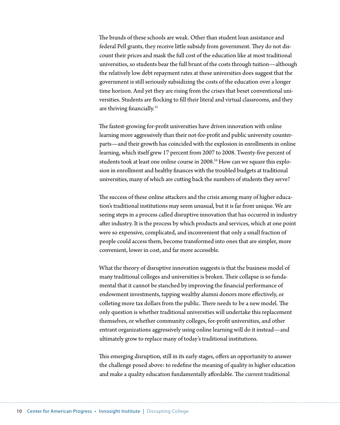The brands of these schools are weak. Other than student loan assistance and federal Pell grants, they receive little subsidy from government. They do not discount their prices and mask the full cost of the education like at most traditional universities, so students bear the full brunt of the costs through tuition—although the relatively low debt repayment rates at these universities does suggest that the government is still seriously subsidizing the costs of the education over a longer time horizon. And yet they are rising from the crises that beset conventional universities. Students are flocking to fill their literal and virtual classrooms, and they are thriving financially.<sup>15</sup>

The fastest-growing for-profit universities have driven innovation with online learning more aggressively than their not-for-profit and public university counterparts—and their growth has coincided with the explosion in enrollments in online learning, which itself grew 17 percent from 2007 to 2008. Twenty-five percent of students took at least one online course in 2008.<sup>16</sup> How can we square this explosion in enrollment and healthy finances with the troubled budgets at traditional universities, many of which are cutting back the numbers of students they serve?

The success of these online attackers and the crisis among many of higher education's traditional institutions may seem unusual, but it is far from unique. We are seeing steps in a process called disruptive innovation that has occurred in industry after industry. It is the process by which products and services, which at one point were so expensive, complicated, and inconvenient that only a small fraction of people could access them, become transformed into ones that are simpler, more convenient, lower in cost, and far more accessible.

What the theory of disruptive innovation suggests is that the business model of many traditional colleges and universities is broken. Their collapse is so fundamental that it cannot be stanched by improving the financial performance of endowment investments, tapping wealthy alumni donors more effectively, or colleting more tax dollars from the public. There needs to be a new model. The only question is whether traditional universities will undertake this replacement themselves, or whether community colleges, for-profit universities, and other entrant organizations aggressively using online learning will do it instead—and ultimately grow to replace many of today's traditional institutions.

This emerging disruption, still in its early stages, offers an opportunity to answer the challenge posed above: to redefine the meaning of quality in higher education and make a quality education fundamentally affordable. The current traditional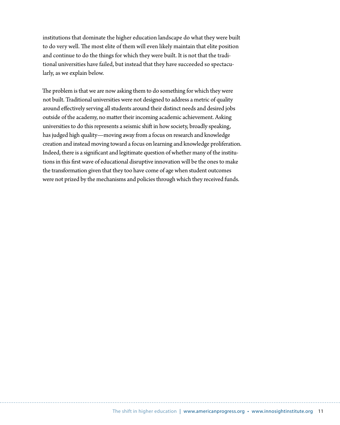institutions that dominate the higher education landscape do what they were built to do very well. The most elite of them will even likely maintain that elite position and continue to do the things for which they were built. It is not that the traditional universities have failed, but instead that they have succeeded so spectacularly, as we explain below.

The problem is that we are now asking them to do something for which they were not built. Traditional universities were not designed to address a metric of quality around effectively serving all students around their distinct needs and desired jobs outside of the academy, no matter their incoming academic achievement. Asking universities to do this represents a seismic shift in how society, broadly speaking, has judged high quality—moving away from a focus on research and knowledge creation and instead moving toward a focus on learning and knowledge proliferation. Indeed, there is a significant and legitimate question of whether many of the institutions in this first wave of educational disruptive innovation will be the ones to make the transformation given that they too have come of age when student outcomes were not prized by the mechanisms and policies through which they received funds.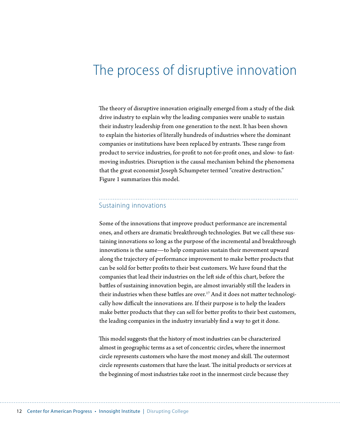### <span id="page-17-0"></span>The process of disruptive innovation

The theory of disruptive innovation originally emerged from a study of the disk drive industry to explain why the leading companies were unable to sustain their industry leadership from one generation to the next. It has been shown to explain the histories of literally hundreds of industries where the dominant companies or institutions have been replaced by entrants. These range from product to service industries, for-profit to not-for-profit ones, and slow- to fastmoving industries. Disruption is the causal mechanism behind the phenomena that the great economist Joseph Schumpeter termed "creative destruction." Figure 1 summarizes this model.

#### Sustaining innovations

Some of the innovations that improve product performance are incremental ones, and others are dramatic breakthrough technologies. But we call these sustaining innovations so long as the purpose of the incremental and breakthrough innovations is the same—to help companies sustain their movement upward along the trajectory of performance improvement to make better products that can be sold for better profits to their best customers. We have found that the companies that lead their industries on the left side of this chart, before the battles of sustaining innovation begin, are almost invariably still the leaders in their industries when these battles are over.<sup>17</sup> And it does not matter technologically how difficult the innovations are. If their purpose is to help the leaders make better products that they can sell for better profits to their best customers, the leading companies in the industry invariably find a way to get it done.

This model suggests that the history of most industries can be characterized almost in geographic terms as a set of concentric circles, where the innermost circle represents customers who have the most money and skill. The outermost circle represents customers that have the least. The initial products or services at the beginning of most industries take root in the innermost circle because they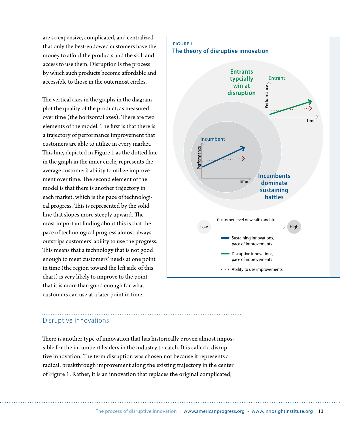are so expensive, complicated, and centralized that only the best-endowed customers have the money to afford the products and the skill and access to use them. Disruption is the process by which such products become affordable and accessible to those in the outermost circles.

The vertical axes in the graphs in the diagram plot the quality of the product, as measured over time (the horizontal axes). There are two elements of the model. The first is that there is a trajectory of performance improvement that customers are able to utilize in every market. This line, depicted in Figure 1 as the dotted line in the graph in the inner circle, represents the average customer's ability to utilize improvement over time. The second element of the model is that there is another trajectory in each market, which is the pace of technological progress. This is represented by the solid line that slopes more steeply upward. The most important finding about this is that the pace of technological progress almost always outstrips customers' ability to use the progress. This means that a technology that is not good enough to meet customers' needs at one point in time (the region toward the left side of this chart) is very likely to improve to the point that it is more than good enough for what customers can use at a later point in time.

#### **Figure 1 The theory of disruptive innovation**



#### Disruptive innovations

There is another type of innovation that has historically proven almost impossible for the incumbent leaders in the industry to catch. It is called a disruptive innovation. The term disruption was chosen not because it represents a radical, breakthrough improvement along the existing trajectory in the center of Figure 1. Rather, it is an innovation that replaces the original complicated,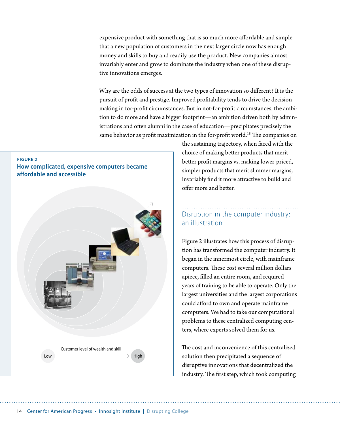expensive product with something that is so much more affordable and simple that a new population of customers in the next larger circle now has enough money and skills to buy and readily use the product. New companies almost invariably enter and grow to dominate the industry when one of these disruptive innovations emerges.

Why are the odds of success at the two types of innovation so different? It is the pursuit of profit and prestige. Improved profitability tends to drive the decision making in for-profit circumstances. But in not-for-profit circumstances, the ambition to do more and have a bigger footprint—an ambition driven both by administrations and often alumni in the case of education—precipitates precisely the same behavior as profit maximization in the for-profit world.<sup>18</sup> The companies on

#### **Figure 2 How complicated, expensive computers became affordable and accessible**



the sustaining trajectory, when faced with the choice of making better products that merit better profit margins vs. making lower-priced, simpler products that merit slimmer margins, invariably find it more attractive to build and offer more and better.

### Disruption in the computer industry: an illustration

Figure 2 illustrates how this process of disruption has transformed the computer industry. It began in the innermost circle, with mainframe computers. These cost several million dollars apiece, filled an entire room, and required years of training to be able to operate. Only the largest universities and the largest corporations could afford to own and operate mainframe computers. We had to take our computational problems to these centralized computing centers, where experts solved them for us.

The cost and inconvenience of this centralized solution then precipitated a sequence of disruptive innovations that decentralized the industry. The first step, which took computing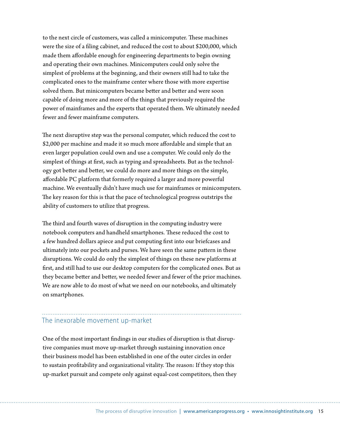to the next circle of customers, was called a minicomputer. These machines were the size of a filing cabinet, and reduced the cost to about \$200,000, which made them affordable enough for engineering departments to begin owning and operating their own machines. Minicomputers could only solve the simplest of problems at the beginning, and their owners still had to take the complicated ones to the mainframe center where those with more expertise solved them. But minicomputers became better and better and were soon capable of doing more and more of the things that previously required the power of mainframes and the experts that operated them. We ultimately needed fewer and fewer mainframe computers.

The next disruptive step was the personal computer, which reduced the cost to \$2,000 per machine and made it so much more affordable and simple that an even larger population could own and use a computer. We could only do the simplest of things at first, such as typing and spreadsheets. But as the technology got better and better, we could do more and more things on the simple, affordable PC platform that formerly required a larger and more powerful machine. We eventually didn't have much use for mainframes or minicomputers. The key reason for this is that the pace of technological progress outstrips the ability of customers to utilize that progress.

The third and fourth waves of disruption in the computing industry were notebook computers and handheld smartphones. These reduced the cost to a few hundred dollars apiece and put computing first into our briefcases and ultimately into our pockets and purses. We have seen the same pattern in these disruptions. We could do only the simplest of things on these new platforms at first, and still had to use our desktop computers for the complicated ones. But as they became better and better, we needed fewer and fewer of the prior machines. We are now able to do most of what we need on our notebooks, and ultimately on smartphones.

#### The inexorable movement up-market

One of the most important findings in our studies of disruption is that disruptive companies must move up-market through sustaining innovation once their business model has been established in one of the outer circles in order to sustain profitability and organizational vitality. The reason: If they stop this up-market pursuit and compete only against equal-cost competitors, then they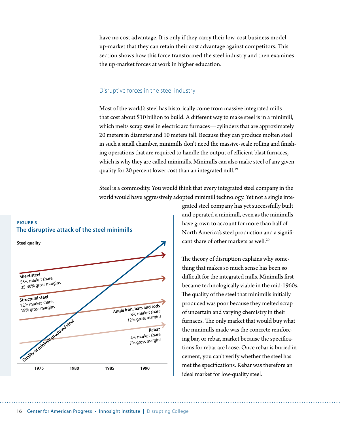have no cost advantage. It is only if they carry their low-cost business model up-market that they can retain their cost advantage against competitors. This section shows how this force transformed the steel industry and then examines the up-market forces at work in higher education.

#### Disruptive forces in the steel industry

Most of the world's steel has historically come from massive integrated mills that cost about \$10 billion to build. A different way to make steel is in a minimill, which melts scrap steel in electric arc furnaces—cylinders that are approximately 20 meters in diameter and 10 meters tall. Because they can produce molten steel in such a small chamber, minimills don't need the massive-scale rolling and finishing operations that are required to handle the output of efficient blast furnaces, which is why they are called minimills. Minimills can also make steel of any given quality for 20 percent lower cost than an integrated mill.<sup>19</sup>

Steel is a commodity. You would think that every integrated steel company in the world would have aggressively adopted minimill technology. Yet not a single inte-



grated steel company has yet successfully built and operated a minimill, even as the minimills have grown to account for more than half of North America's steel production and a significant share of other markets as well.<sup>20</sup>

The theory of disruption explains why something that makes so much sense has been so difficult for the integrated mills. Minimills first became technologically viable in the mid-1960s. The quality of the steel that minimills initially produced was poor because they melted scrap of uncertain and varying chemistry in their furnaces. The only market that would buy what the minimills made was the concrete reinforcing bar, or rebar, market because the specifications for rebar are loose. Once rebar is buried in cement, you can't verify whether the steel has met the specifications. Rebar was therefore an ideal market for low-quality steel.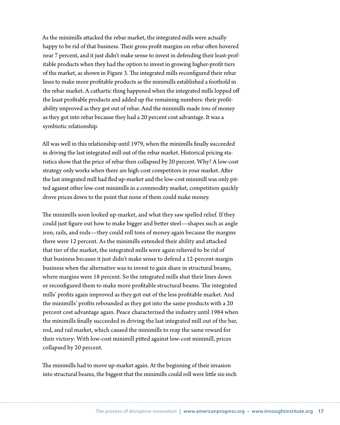As the minimills attacked the rebar market, the integrated mills were actually happy to be rid of that business. Their gross profit margins on rebar often hovered near 7 percent, and it just didn't make sense to invest in defending their least-profitable products when they had the option to invest in growing higher-profit tiers of the market, as shown in Figure 3. The integrated mills reconfigured their rebar lines to make more profitable products as the minimills established a foothold in the rebar market. A cathartic thing happened when the integrated mills lopped off the least profitable products and added up the remaining numbers: their profitability improved as they got out of rebar. And the minimills made *tons* of money as they got into rebar because they had a 20 percent cost advantage. It was a symbiotic relationship.

All was well in this relationship until 1979, when the minimills finally succeeded in driving the last integrated mill out of the rebar market. Historical pricing statistics show that the price of rebar then collapsed by 20 percent. Why? A low-cost strategy only works when there are high-cost competitors in your market. After the last integrated mill had fled up-market and the low-cost minimill was only pitted against other low-cost minimills in a commodity market, competition quickly drove prices down to the point that none of them could make money.

The minimills soon looked up-market, and what they saw spelled relief. If they could just figure out how to make bigger and better steel—shapes such as angle iron, rails, and rods—they could roll tons of money again because the margins there were 12 percent. As the minimills extended their ability and attacked that tier of the market, the integrated mills were again relieved to be rid of that business because it just didn't make sense to defend a 12-percent-margin business when the alternative was to invest to gain share in structural beams, where margins were 18 percent. So the integrated mills shut their lines down or reconfigured them to make more profitable structural beams. The integrated mills' profits again improved as they got out of the less profitable market. And the minimills' profits rebounded as they got into the same products with a 20 percent cost advantage again. Peace characterized the industry until 1984 when the minimills finally succeeded in driving the last integrated mill out of the bar, rod, and rail market, which caused the minimills to reap the same reward for their victory: With low-cost minimill pitted against low-cost minimill, prices collapsed by 20 percent.

The minimills had to move up-market again. At the beginning of their invasion into structural beams, the biggest that the minimills could roll were little six-inch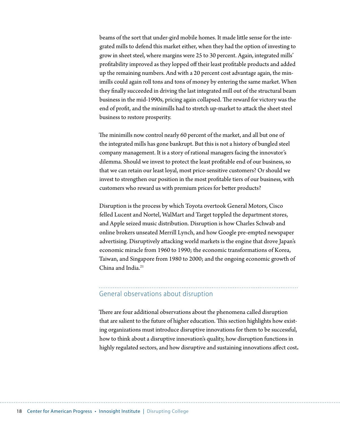beams of the sort that under-gird mobile homes. It made little sense for the integrated mills to defend this market either, when they had the option of investing to grow in sheet steel, where margins were 25 to 30 percent. Again, integrated mills' profitability improved as they lopped off their least profitable products and added up the remaining numbers. And with a 20 percent cost advantage again, the minimills could again roll tons and tons of money by entering the same market. When they finally succeeded in driving the last integrated mill out of the structural beam business in the mid-1990s, pricing again collapsed. The reward for victory was the end of profit, and the minimills had to stretch up-market to attack the sheet steel business to restore prosperity.

The minimills now control nearly 60 percent of the market, and all but one of the integrated mills has gone bankrupt. But this is not a history of bungled steel company management. It is a story of rational managers facing the innovator's dilemma. Should we invest to protect the least profitable end of our business, so that we can retain our least loyal, most price-sensitive customers? Or should we invest to strengthen our position in the most profitable tiers of our business, with customers who reward us with premium prices for better products?

Disruption is the process by which Toyota overtook General Motors, Cisco felled Lucent and Nortel, WalMart and Target toppled the department stores, and Apple seized music distribution. Disruption is how Charles Schwab and online brokers unseated Merrill Lynch, and how Google pre-empted newspaper advertising. Disruptively attacking world markets is the engine that drove Japan's economic miracle from 1960 to 1990; the economic transformations of Korea, Taiwan, and Singapore from 1980 to 2000; and the ongoing economic growth of China and India. $21$ 

#### General observations about disruption

There are four additional observations about the phenomena called disruption that are salient to the future of higher education. This section highlights how existing organizations must introduce disruptive innovations for them to be successful, how to think about a disruptive innovation's quality, how disruption functions in highly regulated sectors, and how disruptive and sustaining innovations affect cost**.**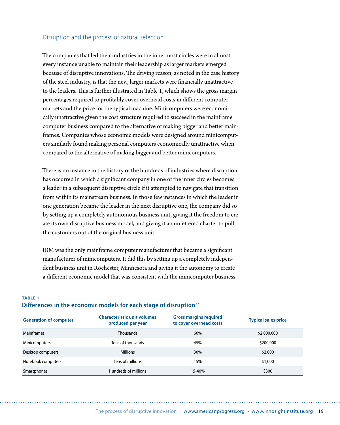#### Disruption and the process of natural selection

The companies that led their industries in the innermost circles were in almost every instance unable to maintain their leadership as larger markets emerged because of disruptive innovations. The driving reason, as noted in the case history of the steel industry, is that the new, larger markets were financially unattractive to the leaders. This is further illustrated in Table 1, which shows the gross margin percentages required to profitably cover overhead costs in different computer markets and the price for the typical machine. Minicomputers were economically unattractive given the cost structure required to succeed in the mainframe computer business compared to the alternative of making bigger and better mainframes. Companies whose economic models were designed around minicomputers similarly found making personal computers economically unattractive when compared to the alternative of making bigger and better minicomputers.

There is no instance in the history of the hundreds of industries where disruption has occurred in which a significant company in one of the inner circles becomes a leader in a subsequent disruptive circle if it attempted to navigate that transition from within its mainstream business. In those few instances in which the leader in one generation became the leader in the next disruptive one, the company did so by setting up a completely autonomous business unit, giving it the freedom to create its own disruptive business model, and giving it an unfettered charter to pull the customers out of the original business unit.

IBM was the only mainframe computer manufacturer that became a significant manufacturer of minicomputers. It did this by setting up a completely independent business unit in Rochester, Minnesota and giving it the autonomy to create a different economic model that was consistent with the minicomputer business.

#### **Table 1 Differences in the economic models for each stage of disruption22**

| <b>Generation of computer</b> | <b>Characteristic unit volumes</b><br>produced per year | <b>Gross margins required</b><br>to cover overhead costs | <b>Typical sales price</b> |
|-------------------------------|---------------------------------------------------------|----------------------------------------------------------|----------------------------|
| <b>Mainframes</b>             | <b>Thousands</b>                                        | 60%                                                      | \$2,000,000                |
| <b>Minicomputers</b>          | Tens of thousands                                       | 45%                                                      | \$200,000                  |
| Desktop computers             | <b>Millions</b>                                         | 30%                                                      | \$2,000                    |
| Notebook computers            | Tens of millions                                        | 15%                                                      | \$1,000                    |
| Smartphones                   | Hundreds of millions                                    | 15-40%                                                   | \$300                      |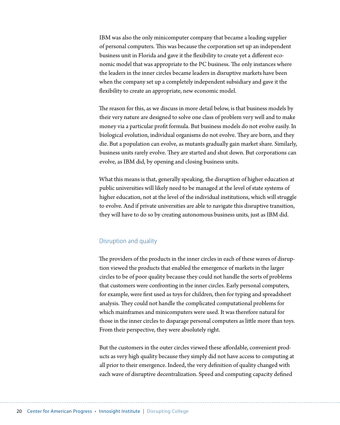IBM was also the only minicomputer company that became a leading supplier of personal computers. This was because the corporation set up an independent business unit in Florida and gave it the flexibility to create yet a different economic model that was appropriate to the PC business. The only instances where the leaders in the inner circles became leaders in disruptive markets have been when the company set up a completely independent subsidiary and gave it the flexibility to create an appropriate, new economic model.

The reason for this, as we discuss in more detail below, is that business models by their very nature are designed to solve one class of problem very well and to make money via a particular profit formula. But business models do not evolve easily. In biological evolution, individual organisms do not evolve. They are born, and they die. But a population can evolve, as mutants gradually gain market share. Similarly, business units rarely evolve. They are started and shut down. But corporations can evolve, as IBM did, by opening and closing business units.

What this means is that, generally speaking, the disruption of higher education at public universities will likely need to be managed at the level of state systems of higher education, not at the level of the individual institutions, which will struggle to evolve. And if private universities are able to navigate this disruptive transition, they will have to do so by creating autonomous business units, just as IBM did.

#### Disruption and quality

The providers of the products in the inner circles in each of these waves of disruption viewed the products that enabled the emergence of markets in the larger circles to be of poor quality because they could not handle the sorts of problems that customers were confronting in the inner circles. Early personal computers, for example, were first used as toys for children, then for typing and spreadsheet analysis. They could not handle the complicated computational problems for which mainframes and minicomputers were used. It was therefore natural for those in the inner circles to disparage personal computers as little more than toys. From their perspective, they were absolutely right.

But the customers in the outer circles viewed these affordable, convenient products as very high quality because they simply did not have access to computing at all prior to their emergence. Indeed, the very definition of quality changed with each wave of disruptive decentralization. Speed and computing capacity defined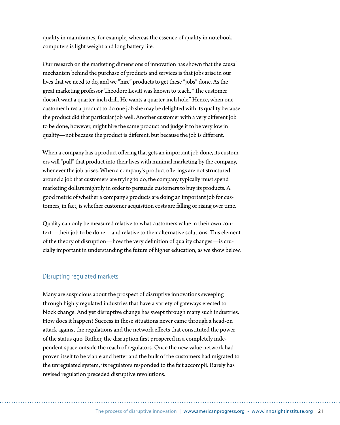quality in mainframes, for example, whereas the essence of quality in notebook computers is light weight and long battery life.

Our research on the marketing dimensions of innovation has shown that the causal mechanism behind the purchase of products and services is that jobs arise in our lives that we need to do, and we "hire" products to get these "jobs" done. As the great marketing professor Theodore Levitt was known to teach, "The customer doesn't want a quarter-inch drill. He wants a quarter-inch hole." Hence, when one customer hires a product to do one job she may be delighted with its quality because the product did that particular job well. Another customer with a very different job to be done, however, might hire the same product and judge it to be very low in quality—not because the product is different, but because the job is different.

When a company has a product offering that gets an important job done, its customers will "pull" that product into their lives with minimal marketing by the company, whenever the job arises. When a company's product offerings are not structured around a job that customers are trying to do, the company typically must spend marketing dollars mightily in order to persuade customers to buy its products. A good metric of whether a company's products are doing an important job for customers, in fact, is whether customer acquisition costs are falling or rising over time.

Quality can only be measured relative to what customers value in their own context—their job to be done—and relative to their alternative solutions. This element of the theory of disruption—how the very definition of quality changes—is crucially important in understanding the future of higher education, as we show below.

#### Disrupting regulated markets

Many are suspicious about the prospect of disruptive innovations sweeping through highly regulated industries that have a variety of gateways erected to block change. And yet disruptive change has swept through many such industries. How does it happen? Success in these situations never came through a head-on attack against the regulations and the network effects that constituted the power of the status quo. Rather, the disruption first prospered in a completely independent space outside the reach of regulators. Once the new value network had proven itself to be viable and better and the bulk of the customers had migrated to the unregulated system, its regulators responded to the fait accompli. Rarely has revised regulation preceded disruptive revolutions.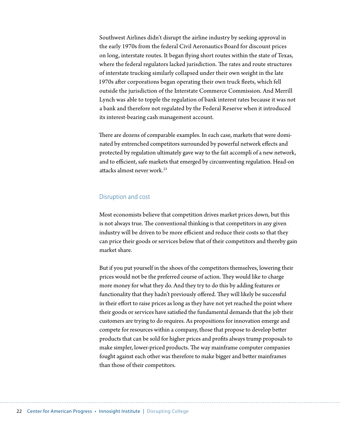Southwest Airlines didn't disrupt the airline industry by seeking approval in the early 1970s from the federal Civil Aeronautics Board for discount prices on long, interstate routes. It began flying short routes within the state of Texas, where the federal regulators lacked jurisdiction. The rates and route structures of interstate trucking similarly collapsed under their own weight in the late 1970s after corporations began operating their own truck fleets, which fell outside the jurisdiction of the Interstate Commerce Commission. And Merrill Lynch was able to topple the regulation of bank interest rates because it was not a bank and therefore not regulated by the Federal Reserve when it introduced its interest-bearing cash management account.

There are dozens of comparable examples. In each case, markets that were dominated by entrenched competitors surrounded by powerful network effects and protected by regulation ultimately gave way to the fait accompli of a new network, and to efficient, safe markets that emerged by circumventing regulation. Head-on attacks almost never work  $^{23}$ 

#### Disruption and cost

Most economists believe that competition drives market prices down, but this is not always true. The conventional thinking is that competitors in any given industry will be driven to be more efficient and reduce their costs so that they can price their goods or services below that of their competitors and thereby gain market share.

But if you put yourself in the shoes of the competitors themselves, lowering their prices would not be the preferred course of action. They would like to charge more money for what they do. And they try to do this by adding features or functionality that they hadn't previously offered. They will likely be successful in their effort to raise prices as long as they have not yet reached the point where their goods or services have satisfied the fundamental demands that the job their customers are trying to do requires. As propositions for innovation emerge and compete for resources within a company, those that propose to develop better products that can be sold for higher prices and profits always trump proposals to make simpler, lower-priced products. The way mainframe computer companies fought against each other was therefore to make bigger and better mainframes than those of their competitors.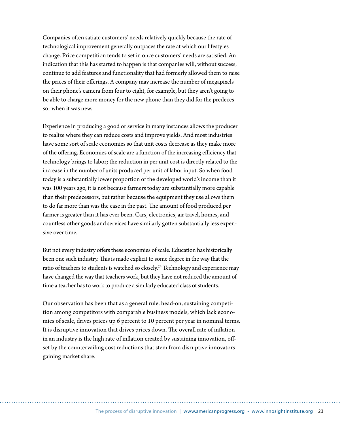Companies often satiate customers' needs relatively quickly because the rate of technological improvement generally outpaces the rate at which our lifestyles change. Price competition tends to set in once customers' needs are satisfied. An indication that this has started to happen is that companies will, without success, continue to add features and functionality that had formerly allowed them to raise the prices of their offerings. A company may increase the number of megapixels on their phone's camera from four to eight, for example, but they aren't going to be able to charge more money for the new phone than they did for the predecessor when it was new.

Experience in producing a good or service in many instances allows the producer to realize where they can reduce costs and improve yields. And most industries have some sort of scale economies so that unit costs decrease as they make more of the offering. Economies of scale are a function of the increasing efficiency that technology brings to labor; the reduction in per unit cost is directly related to the increase in the number of units produced per unit of labor input. So when food today is a substantially lower proportion of the developed world's income than it was 100 years ago, it is not because farmers today are substantially more capable than their predecessors, but rather because the equipment they use allows them to do far more than was the case in the past. The amount of food produced per farmer is greater than it has ever been. Cars, electronics, air travel, homes, and countless other goods and services have similarly gotten substantially less expensive over time.

But not every industry offers these economies of scale. Education has historically been one such industry. This is made explicit to some degree in the way that the ratio of teachers to students is watched so closely.<sup>24</sup> Technology and experience may have changed the way that teachers work, but they have not reduced the amount of time a teacher has to work to produce a similarly educated class of students.

Our observation has been that as a general rule, head-on, sustaining competition among competitors with comparable business models, which lack economies of scale, drives prices up 6 percent to 10 percent per year in nominal terms. It is disruptive innovation that drives prices down. The overall rate of inflation in an industry is the high rate of inflation created by sustaining innovation, offset by the countervailing cost reductions that stem from disruptive innovators gaining market share.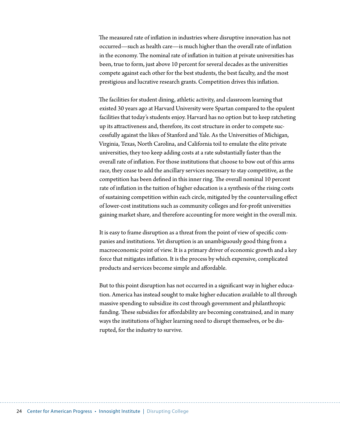The measured rate of inflation in industries where disruptive innovation has not occurred—such as health care—is much higher than the overall rate of inflation in the economy. The nominal rate of inflation in tuition at private universities has been, true to form, just above 10 percent for several decades as the universities compete against each other for the best students, the best faculty, and the most prestigious and lucrative research grants. Competition drives this inflation.

The facilities for student dining, athletic activity, and classroom learning that existed 30 years ago at Harvard University were Spartan compared to the opulent facilities that today's students enjoy. Harvard has no option but to keep ratcheting up its attractiveness and, therefore, its cost structure in order to compete successfully against the likes of Stanford and Yale. As the Universities of Michigan, Virginia, Texas, North Carolina, and California toil to emulate the elite private universities, they too keep adding costs at a rate substantially faster than the overall rate of inflation. For those institutions that choose to bow out of this arms race, they cease to add the ancillary services necessary to stay competitive, as the competition has been defined in this inner ring. The overall nominal 10 percent rate of inflation in the tuition of higher education is a synthesis of the rising costs of sustaining competition within each circle, mitigated by the countervailing effect of lower-cost institutions such as community colleges and for-profit universities gaining market share, and therefore accounting for more weight in the overall mix.

It is easy to frame disruption as a threat from the point of view of specific companies and institutions. Yet disruption is an unambiguously good thing from a macroeconomic point of view. It is a primary driver of economic growth and a key force that mitigates inflation. It is the process by which expensive, complicated products and services become simple and affordable.

But to this point disruption has not occurred in a significant way in higher education. America has instead sought to make higher education available to all through massive spending to subsidize its cost through government and philanthropic funding. These subsidies for affordability are becoming constrained, and in many ways the institutions of higher learning need to disrupt themselves, or be disrupted, for the industry to survive.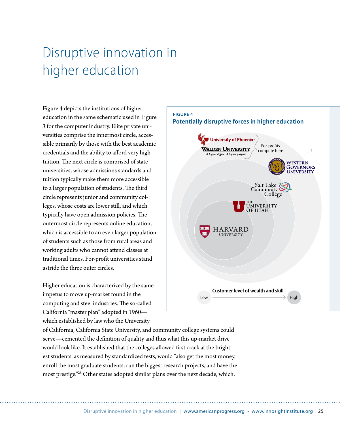## <span id="page-30-0"></span>Disruptive innovation in higher education

Figure 4 depicts the institutions of higher education in the same schematic used in Figure 3 for the computer industry. Elite private universities comprise the innermost circle, accessible primarily by those with the best academic credentials and the ability to afford very high tuition. The next circle is comprised of state universities, whose admissions standards and tuition typically make them more accessible to a larger population of students. The third circle represents junior and community colleges, whose costs are lower still, and which typically have open admission policies. The outermost circle represents online education, which is accessible to an even larger population of students such as those from rural areas and working adults who cannot attend classes at traditional times. For-profit universities stand astride the three outer circles.

Higher education is characterized by the same impetus to move up-market found in the computing and steel industries. The so-called California "master plan" adopted in 1960 which established by law who the University

of California, California State University, and community college systems could serve—cemented the definition of quality and thus what this up-market drive would look like. It established that the colleges allowed first crack at the brightest students, as measured by standardized tests, would "also get the most money, enroll the most graduate students, run the biggest research projects, and have the most prestige."<sup>25</sup> Other states adopted similar plans over the next decade, which,

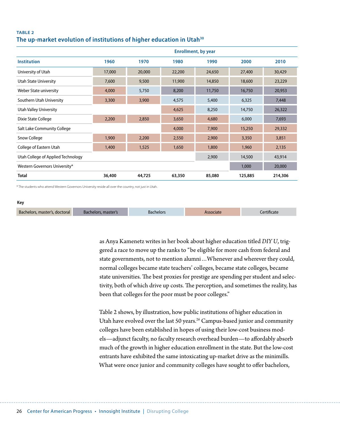#### **Table 2 The up-market evolution of institutions of higher education in Utah30**

|                                    |        | <b>Enrollment, by year</b> |        |        |         |         |
|------------------------------------|--------|----------------------------|--------|--------|---------|---------|
| <b>Institution</b>                 | 1960   | 1970                       | 1980   | 1990   | 2000    | 2010    |
| University of Utah                 | 17,000 | 20,000                     | 22,200 | 24,650 | 27,400  | 30,429  |
| Utah State University              | 7,600  | 9,500                      | 11,900 | 14,850 | 18,600  | 23,229  |
| Weber State university             | 4,000  | 5,750                      | 8,200  | 11,750 | 16,750  | 20,953  |
| Southern Utah University           | 3,300  | 3,900                      | 4,575  | 5,400  | 6,325   | 7,448   |
| <b>Utah Valley University</b>      |        |                            | 4,625  | 8,250  | 14,750  | 26,322  |
| Dixie State College                | 2,200  | 2,850                      | 3,650  | 4,680  | 6,000   | 7,693   |
| Salt Lake Community College        |        | 4,000                      | 7,900  | 15,250 | 29,332  |         |
| Snow College                       | 1,900  | 2,200                      | 2,550  | 2,900  | 3,350   | 3,851   |
| College of Eastern Utah            | 1,400  | 1,525                      | 1,650  | 1,800  | 1,960   | 2,135   |
| Utah College of Applied Technology |        |                            |        | 2,900  | 14,500  | 43,914  |
| Western Governors University*      |        |                            |        |        | 1,000   | 20,000  |
| <b>Total</b>                       | 36,400 | 44,725                     | 63,350 | 85,080 | 125,885 | 214,306 |

\* The students who attend Western Governors University reside all over the country, not just in Utah.

#### **Key**

| Bachelors, master's, doctoral | Bachelors, master's | Bachelors | Associate | ertificate: |
|-------------------------------|---------------------|-----------|-----------|-------------|
|                               |                     |           |           |             |

as Anya Kamenetz writes in her book about higher education titled *DIY U*, triggered a race to move up the ranks to "be eligible for more cash from federal and state governments, not to mention alumni…Whenever and wherever they could, normal colleges became state teachers' colleges, became state colleges, became state universities. The best proxies for prestige are spending per student and selectivity, both of which drive up costs. The perception, and sometimes the reality, has been that colleges for the poor must be poor colleges."

Table 2 shows, by illustration, how public institutions of higher education in Utah have evolved over the last 50 years.<sup>26</sup> Campus-based junior and community colleges have been established in hopes of using their low-cost business models—adjunct faculty, no faculty research overhead burden—to affordably absorb much of the growth in higher education enrollment in the state. But the low-cost entrants have exhibited the same intoxicating up-market drive as the minimills. What were once junior and community colleges have sought to offer bachelors,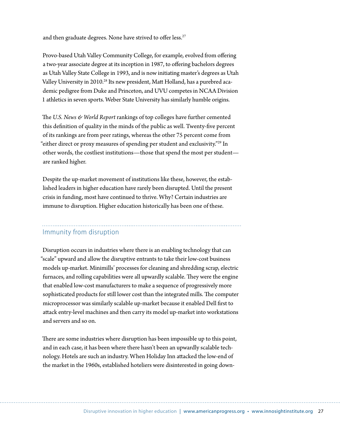and then graduate degrees. None have strived to offer less.<sup>27</sup>

Provo-based Utah Valley Community College, for example, evolved from offering a two-year associate degree at its inception in 1987, to offering bachelors degrees as Utah Valley State College in 1993, and is now initiating master's degrees as Utah Valley University in 2010.<sup>28</sup> Its new president, Matt Holland, has a purebred academic pedigree from Duke and Princeton, and UVU competes in NCAA Division 1 athletics in seven sports. Weber State University has similarly humble origins.

The *U.S. News & World Report* rankings of top colleges have further cemented this definition of quality in the minds of the public as well. Twenty-five percent of its rankings are from peer ratings, whereas the other 75 percent come from "either direct or proxy measures of spending per student and exclusivity."29 In other words, the costliest institutions—those that spend the most per student are ranked higher.

Despite the up-market movement of institutions like these, however, the established leaders in higher education have rarely been disrupted. Until the present crisis in funding, most have continued to thrive. Why? Certain industries are immune to disruption. Higher education historically has been one of these.

#### Immunity from disruption

Disruption occurs in industries where there is an enabling technology that can "scale" upward and allow the disruptive entrants to take their low-cost business models up-market. Minimills' processes for cleaning and shredding scrap, electric furnaces, and rolling capabilities were all upwardly scalable. They were the engine that enabled low-cost manufacturers to make a sequence of progressively more sophisticated products for still lower cost than the integrated mills. The computer microprocessor was similarly scalable up-market because it enabled Dell first to attack entry-level machines and then carry its model up-market into workstations and servers and so on.

There are some industries where disruption has been impossible up to this point, and in each case, it has been where there hasn't been an upwardly scalable technology. Hotels are such an industry. When Holiday Inn attacked the low-end of the market in the 1960s, established hoteliers were disinterested in going down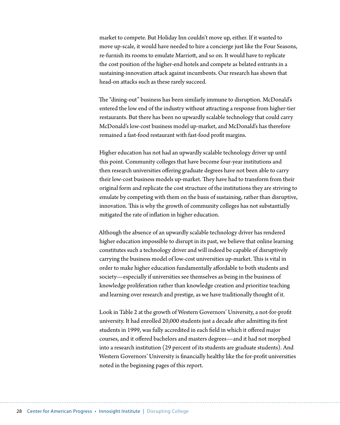market to compete. But Holiday Inn couldn't move up, either. If it wanted to move up-scale, it would have needed to hire a concierge just like the Four Seasons, re-furnish its rooms to emulate Marriott, and so on. It would have to replicate the cost position of the higher-end hotels and compete as belated entrants in a sustaining-innovation attack against incumbents. Our research has shown that head-on attacks such as these rarely succeed.

The "dining-out" business has been similarly immune to disruption. McDonald's entered the low end of the industry without attracting a response from higher-tier restaurants. But there has been no upwardly scalable technology that could carry McDonald's low-cost business model up-market, and McDonald's has therefore remained a fast-food restaurant with fast-food profit margins.

Higher education has not had an upwardly scalable technology driver up until this point. Community colleges that have become four-year institutions and then research universities offering graduate degrees have not been able to carry their low-cost business models up-market. They have had to transform from their original form and replicate the cost structure of the institutions they are striving to emulate by competing with them on the basis of sustaining, rather than disruptive, innovation. This is why the growth of community colleges has not substantially mitigated the rate of inflation in higher education.

Although the absence of an upwardly scalable technology driver has rendered higher education impossible to disrupt in its past, we believe that online learning constitutes such a technology driver and will indeed be capable of disruptively carrying the business model of low-cost universities up-market. This is vital in order to make higher education fundamentally affordable to both students and society—especially if universities see themselves as being in the business of knowledge proliferation rather than knowledge creation and prioritize teaching and learning over research and prestige, as we have traditionally thought of it.

Look in Table 2 at the growth of Western Governors' University, a not-for-profit university. It had enrolled 20,000 students just a decade after admitting its first students in 1999, was fully accredited in each field in which it offered major courses, and it offered bachelors and masters degrees—and it had not morphed into a research institution (29 percent of its students are graduate students). And Western Governors' University is financially healthy like the for-profit universities noted in the beginning pages of this report.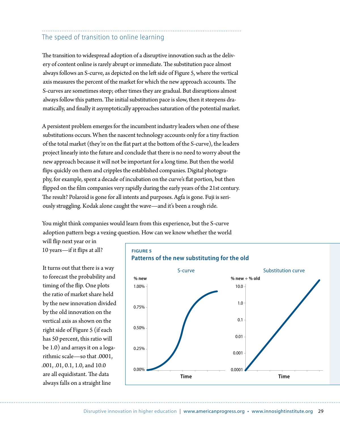#### The speed of transition to online learning

The transition to widespread adoption of a disruptive innovation such as the delivery of content online is rarely abrupt or immediate. The substitution pace almost always follows an S-curve, as depicted on the left side of Figure 5, where the vertical axis measures the percent of the market for which the new approach accounts. The S-curves are sometimes steep; other times they are gradual. But disruptions almost always follow this pattern. The initial substitution pace is slow, then it steepens dramatically, and finally it asymptotically approaches saturation of the potential market.

A persistent problem emerges for the incumbent industry leaders when one of these substitutions occurs. When the nascent technology accounts only for a tiny fraction of the total market (they're on the flat part at the bottom of the S-curve), the leaders project linearly into the future and conclude that there is no need to worry about the new approach because it will not be important for a long time. But then the world flips quickly on them and cripples the established companies. Digital photography, for example, spent a decade of incubation on the curve's flat portion, but then flipped on the film companies very rapidly during the early years of the 21st century. The result? Polaroid is gone for all intents and purposes. Agfa is gone. Fuji is seriously struggling. Kodak alone caught the wave—and it's been a rough ride.

You might think companies would learn from this experience, but the S-curve adoption pattern begs a vexing question. How can we know whether the world

will flip next year or in 10 years—if it flips at all?

It turns out that there is a way to forecast the probability and timing of the flip. One plots the ratio of market share held by the new innovation divided by the old innovation on the vertical axis as shown on the right side of Figure 5 (if each has 50 percent, this ratio will be 1.0) and arrays it on a logarithmic scale—so that .0001, .001, .01, 0.1, 1.0, and 10.0 are all equidistant. The data always falls on a straight line



#### **Figure 5 Patterns of the new substituting for the old**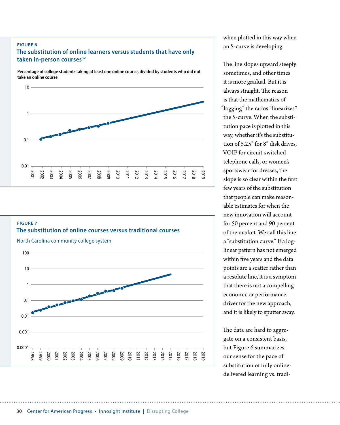#### **Figure 6**

#### **The substitution of online learners versus students that have only**  taken in-person courses<sup>32</sup>

**Percentage of college students taking at least one online course, divided by students who did not take an online course**







when plotted in this way when an S-curve is developing.

The line slopes upward steeply sometimes, and other times it is more gradual. But it is always straight. The reason is that the mathematics of "logging" the ratios "linearizes" the S-curve. When the substitution pace is plotted in this way, whether it's the substitution of 5.25" for 8" disk drives, VOIP for circuit-switched telephone calls, or women's sportswear for dresses, the slope is so clear within the first few years of the substitution that people can make reasonable estimates for when the new innovation will account for 50 percent and 90 percent of the market. We call this line a "substitution curve." If a loglinear pattern has not emerged within five years and the data points are a scatter rather than a resolute line, it is a symptom that there is not a compelling economic or performance driver for the new approach, and it is likely to sputter away.

The data are hard to aggregate on a consistent basis, but Figure 6 summarizes our sense for the pace of substitution of fully onlinedelivered learning vs. tradi-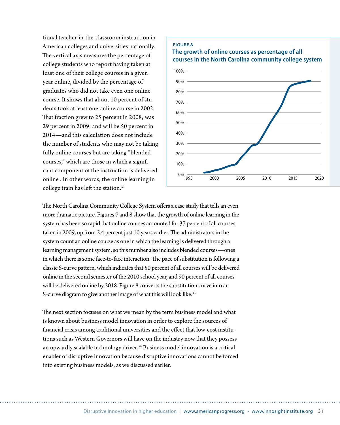tional teacher-in-the-classroom instruction in American colleges and universities nationally. The vertical axis measures the percentage of college students who report having taken at least one of their college courses in a given year online, divided by the percentage of graduates who did not take even one online course. It shows that about 10 percent of students took at least one online course in 2002. That fraction grew to 25 percent in 2008; was 29 percent in 2009; and will be 50 percent in 2014—and this calculation does not include the number of students who may not be taking fully online courses but are taking "blended courses," which are those in which a significant component of the instruction is delivered online . In other words, the online learning in college train has left the station.<sup>31</sup>



The North Carolina Community College System offers a case study that tells an even more dramatic picture. Figures 7 and 8 show that the growth of online learning in the system has been so rapid that online courses accounted for 37 percent of all courses taken in 2009, up from 2.4 percent just 10 years earlier. The administrators in the system count an online course as one in which the learning is delivered through a learning management system, so this number also includes blended courses—ones in which there is some face-to-face interaction. The pace of substitution is following a classic S-curve pattern, which indicates that 50 percent of all courses will be delivered online in the second semester of the 2010 school year, and 90 percent of all courses will be delivered online by 2018. Figure 8 converts the substitution curve into an S-curve diagram to give another image of what this will look like.<sup>33</sup>

The next section focuses on what we mean by the term business model and what is known about business model innovation in order to explore the sources of financial crisis among traditional universities and the effect that low-cost institutions such as Western Governors will have on the industry now that they possess an upwardly scalable technology driver.<sup>34</sup> Business model innovation is a critical enabler of disruptive innovation because disruptive innovations cannot be forced into existing business models, as we discussed earlier.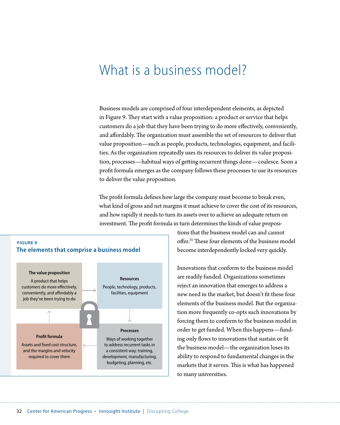## What is a business model?

Business models are comprised of four interdependent elements, as depicted in Figure 9. They start with a value proposition: a product or service that helps customers do a job that they have been trying to do more effectively, conveniently, and affordably. The organization must assemble the set of resources to deliver that value proposition—such as people, products, technologies, equipment, and facilities. As the organization repeatedly uses its resources to deliver its value proposition, processes—habitual ways of getting recurrent things done—coalesce. Soon a profit formula emerges as the company follows these processes to use its resources to deliver the value proposition.

The profit formula defines how large the company must become to break even, what kind of gross and net margins it must achieve to cover the cost of its resources, and how rapidly it needs to turn its assets over to achieve an adequate return on investment. The profit formula in turn determines the kinds of value proposi-



tions that the business model can and cannot offer.35 These four elements of the business model become interdependently locked very quickly.

Innovations that conform to the business model are readily funded. Organizations sometimes reject an innovation that emerges to address a new need in the market, but doesn't fit these four elements of the business model. But the organization more frequently co-opts such innovations by forcing them to conform to the business model in order to get funded. When this happens—funding only flows to innovations that sustain or fit the business model—the organization loses its ability to respond to fundamental changes in the markets that it serves. This is what has happened to many universities.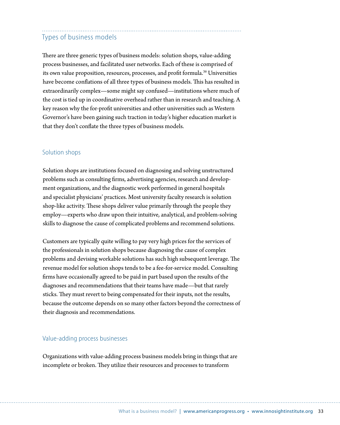## Types of business models

There are three generic types of business models: solution shops, value-adding process businesses, and facilitated user networks. Each of these is comprised of its own value proposition, resources, processes, and profit formula.<sup>36</sup> Universities have become conflations of all three types of business models. This has resulted in extraordinarily complex—some might say confused—institutions where much of the cost is tied up in coordinative overhead rather than in research and teaching. A key reason why the for-profit universities and other universities such as Western Governor's have been gaining such traction in today's higher education market is that they don't conflate the three types of business models.

#### Solution shops

Solution shops are institutions focused on diagnosing and solving unstructured problems such as consulting firms, advertising agencies, research and development organizations, and the diagnostic work performed in general hospitals and specialist physicians' practices. Most university faculty research is solution shop-like activity. These shops deliver value primarily through the people they employ—experts who draw upon their intuitive, analytical, and problem-solving skills to diagnose the cause of complicated problems and recommend solutions.

Customers are typically quite willing to pay very high prices for the services of the professionals in solution shops because diagnosing the cause of complex problems and devising workable solutions has such high subsequent leverage. The revenue model for solution shops tends to be a fee-for-service model. Consulting firms have occasionally agreed to be paid in part based upon the results of the diagnoses and recommendations that their teams have made—but that rarely sticks. They must revert to being compensated for their inputs, not the results, because the outcome depends on so many other factors beyond the correctness of their diagnosis and recommendations.

#### Value-adding process businesses

Organizations with value-adding process business models bring in things that are incomplete or broken. They utilize their resources and processes to transform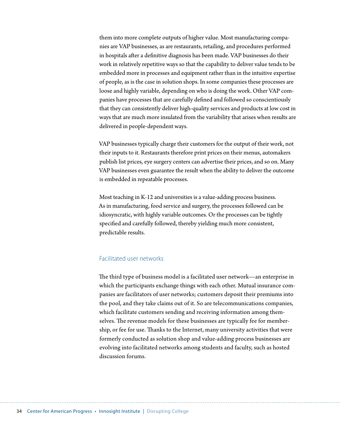them into more complete outputs of higher value. Most manufacturing companies are VAP businesses, as are restaurants, retailing, and procedures performed in hospitals after a definitive diagnosis has been made. VAP businesses do their work in relatively repetitive ways so that the capability to deliver value tends to be embedded more in processes and equipment rather than in the intuitive expertise of people, as is the case in solution shops. In some companies these processes are loose and highly variable, depending on who is doing the work. Other VAP companies have processes that are carefully defined and followed so conscientiously that they can consistently deliver high-quality services and products at low cost in ways that are much more insulated from the variability that arises when results are delivered in people-dependent ways.

VAP businesses typically charge their customers for the output of their work, not their inputs to it. Restaurants therefore print prices on their menus, automakers publish list prices, eye surgery centers can advertise their prices, and so on. Many VAP businesses even guarantee the result when the ability to deliver the outcome is embedded in repeatable processes.

Most teaching in K-12 and universities is a value-adding process business. As in manufacturing, food service and surgery, the processes followed can be idiosyncratic, with highly variable outcomes. Or the processes can be tightly specified and carefully followed, thereby yielding much more consistent, predictable results.

#### Facilitated user networks

The third type of business model is a facilitated user network—an enterprise in which the participants exchange things with each other. Mutual insurance companies are facilitators of user networks; customers deposit their premiums into the pool, and they take claims out of it. So are telecommunications companies, which facilitate customers sending and receiving information among themselves. The revenue models for these businesses are typically fee for membership, or fee for use. Thanks to the Internet, many university activities that were formerly conducted as solution shop and value-adding process businesses are evolving into facilitated networks among students and faculty, such as hosted discussion forums.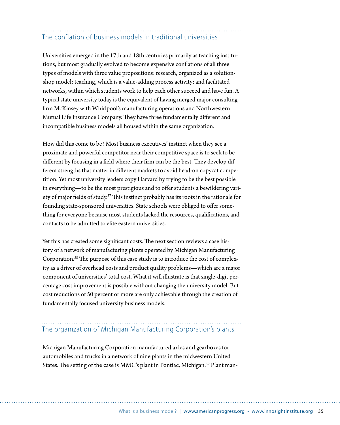## The conflation of business models in traditional universities

Universities emerged in the 17th and 18th centuries primarily as teaching institutions, but most gradually evolved to become expensive conflations of all three types of models with three value propositions: research, organized as a solutionshop model; teaching, which is a value-adding process activity; and facilitated networks, within which students work to help each other succeed and have fun. A typical state university today is the equivalent of having merged major consulting firm McKinsey with Whirlpool's manufacturing operations and Northwestern Mutual Life Insurance Company. They have three fundamentally different and incompatible business models all housed within the same organization.

How did this come to be? Most business executives' instinct when they see a proximate and powerful competitor near their competitive space is to seek to be different by focusing in a field where their firm can be the best. They develop different strengths that matter in different markets to avoid head-on copycat competition. Yet most university leaders copy Harvard by trying to be the best possible in everything—to be the most prestigious and to offer students a bewildering variety of major fields of study.<sup>37</sup> This instinct probably has its roots in the rationale for founding state-sponsored universities. State schools were obliged to offer something for everyone because most students lacked the resources, qualifications, and contacts to be admitted to elite eastern universities.

Yet this has created some significant costs. The next section reviews a case history of a network of manufacturing plants operated by Michigan Manufacturing Corporation.38 The purpose of this case study is to introduce the cost of complexity as a driver of overhead costs and product quality problems—which are a major component of universities' total cost. What it will illustrate is that single-digit percentage cost improvement is possible without changing the university model. But cost reductions of 50 percent or more are only achievable through the creation of fundamentally focused university business models.

## The organization of Michigan Manufacturing Corporation's plants

Michigan Manufacturing Corporation manufactured axles and gearboxes for automobiles and trucks in a network of nine plants in the midwestern United States. The setting of the case is MMC's plant in Pontiac, Michigan.<sup>39</sup> Plant man-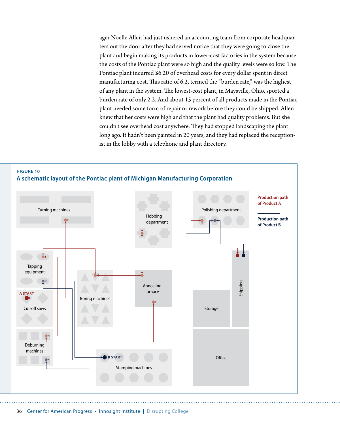ager Noelle Allen had just ushered an accounting team from corporate headquarters out the door after they had served notice that they were going to close the plant and begin making its products in lower-cost factories in the system because the costs of the Pontiac plant were so high and the quality levels were so low. The Pontiac plant incurred \$6.20 of overhead costs for every dollar spent in direct manufacturing cost. This ratio of 6.2, termed the "burden rate," was the highest of any plant in the system. The lowest-cost plant, in Maysville, Ohio, sported a burden rate of only 2.2. And about 15 percent of all products made in the Pontiac plant needed some form of repair or rework before they could be shipped. Allen knew that her costs were high and that the plant had quality problems. But she couldn't see overhead cost anywhere. They had stopped landscaping the plant long ago. It hadn't been painted in 20 years, and they had replaced the receptionist in the lobby with a telephone and plant directory.



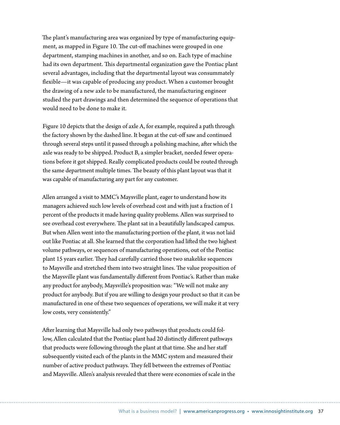The plant's manufacturing area was organized by type of manufacturing equipment, as mapped in Figure 10. The cut-off machines were grouped in one department, stamping machines in another, and so on. Each type of machine had its own department. This departmental organization gave the Pontiac plant several advantages, including that the departmental layout was consummately flexible—it was capable of producing any product. When a customer brought the drawing of a new axle to be manufactured, the manufacturing engineer studied the part drawings and then determined the sequence of operations that would need to be done to make it.

Figure 10 depicts that the design of axle A, for example, required a path through the factory shown by the dashed line. It began at the cut-off saw and continued through several steps until it passed through a polishing machine, after which the axle was ready to be shipped. Product B, a simpler bracket, needed fewer operations before it got shipped. Really complicated products could be routed through the same department multiple times. The beauty of this plant layout was that it was capable of manufacturing any part for any customer.

Allen arranged a visit to MMC's Maysville plant, eager to understand how its managers achieved such low levels of overhead cost and with just a fraction of 1 percent of the products it made having quality problems. Allen was surprised to see overhead cost everywhere. The plant sat in a beautifully landscaped campus. But when Allen went into the manufacturing portion of the plant, it was not laid out like Pontiac at all. She learned that the corporation had lifted the two highest volume pathways, or sequences of manufacturing operations, out of the Pontiac plant 15 years earlier. They had carefully carried those two snakelike sequences to Maysville and stretched them into two straight lines. The value proposition of the Maysville plant was fundamentally different from Pontiac's. Rather than make any product for anybody, Maysville's proposition was: "We will not make any product for anybody. But if you are willing to design your product so that it can be manufactured in one of these two sequences of operations, we will make it at very low costs, very consistently."

After learning that Maysville had only two pathways that products could follow, Allen calculated that the Pontiac plant had 20 distinctly different pathways that products were following through the plant at that time. She and her staff subsequently visited each of the plants in the MMC system and measured their number of active product pathways. They fell between the extremes of Pontiac and Maysville. Allen's analysis revealed that there were economies of scale in the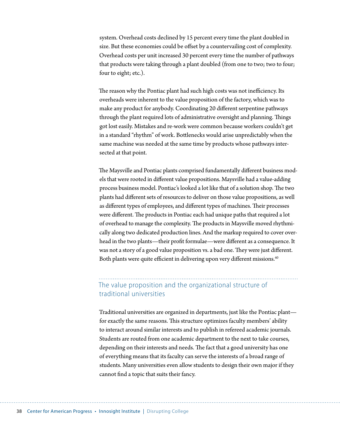system. Overhead costs declined by 15 percent every time the plant doubled in size. But these economies could be offset by a countervailing cost of complexity. Overhead costs per unit increased 30 percent every time the number of pathways that products were taking through a plant doubled (from one to two; two to four; four to eight; etc.).

The reason why the Pontiac plant had such high costs was not inefficiency. Its overheads were inherent to the value proposition of the factory, which was to make any product for anybody. Coordinating 20 different serpentine pathways through the plant required lots of administrative oversight and planning. Things got lost easily. Mistakes and re-work were common because workers couldn't get in a standard "rhythm" of work. Bottlenecks would arise unpredictably when the same machine was needed at the same time by products whose pathways intersected at that point.

The Maysville and Pontiac plants comprised fundamentally different business models that were rooted in different value propositions. Maysville had a value-adding process business model. Pontiac's looked a lot like that of a solution shop. The two plants had different sets of resources to deliver on those value propositions, as well as different types of employees, and different types of machines. Their processes were different. The products in Pontiac each had unique paths that required a lot of overhead to manage the complexity. The products in Maysville moved rhythmically along two dedicated production lines. And the markup required to cover overhead in the two plants—their profit formulae—were different as a consequence. It was not a story of a good value proposition vs. a bad one. They were just different. Both plants were quite efficient in delivering upon very different missions.<sup>40</sup>

## The value proposition and the organizational structure of traditional universities

Traditional universities are organized in departments, just like the Pontiac plant for exactly the same reasons. This structure optimizes faculty members' ability to interact around similar interests and to publish in refereed academic journals. Students are routed from one academic department to the next to take courses, depending on their interests and needs. The fact that a good university has one of everything means that its faculty can serve the interests of a broad range of students. Many universities even allow students to design their own major if they cannot find a topic that suits their fancy.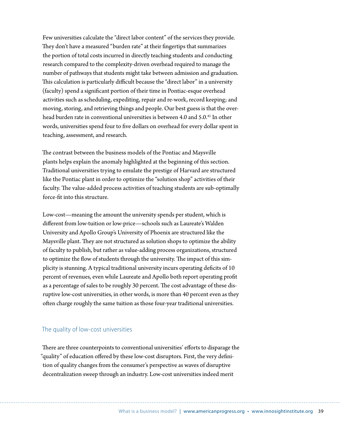Few universities calculate the "direct labor content" of the services they provide. They don't have a measured "burden rate" at their fingertips that summarizes the portion of total costs incurred in directly teaching students and conducting research compared to the complexity-driven overhead required to manage the number of pathways that students might take between admission and graduation. This calculation is particularly difficult because the "direct labor" in a university (faculty) spend a significant portion of their time in Pontiac-esque overhead activities such as scheduling, expediting, repair and re-work, record keeping; and moving, storing, and retrieving things and people. Our best guess is that the overhead burden rate in conventional universities is between 4.0 and 5.0.<sup>41</sup> In other words, universities spend four to five dollars on overhead for every dollar spent in teaching, assessment, and research.

The contrast between the business models of the Pontiac and Maysville plants helps explain the anomaly highlighted at the beginning of this section. Traditional universities trying to emulate the prestige of Harvard are structured like the Pontiac plant in order to optimize the "solution shop" activities of their faculty. The value-added process activities of teaching students are sub-optimally force-fit into this structure.

Low-cost—meaning the amount the university spends per student, which is different from low-tuition or low-price—schools such as Laureate's Walden University and Apollo Group's University of Phoenix are structured like the Maysville plant. They are not structured as solution shops to optimize the ability of faculty to publish, but rather as value-adding process organizations, structured to optimize the flow of students through the university. The impact of this simplicity is stunning. A typical traditional university incurs operating deficits of 10 percent of revenues, even while Laureate and Apollo both report operating profit as a percentage of sales to be roughly 30 percent. The cost advantage of these disruptive low-cost universities, in other words, is more than 40 percent even as they often charge roughly the same tuition as those four-year traditional universities.

#### The quality of low-cost universities

There are three counterpoints to conventional universities' efforts to disparage the "quality" of education offered by these low-cost disruptors. First, the very definition of quality changes from the consumer's perspective as waves of disruptive decentralization sweep through an industry. Low-cost universities indeed merit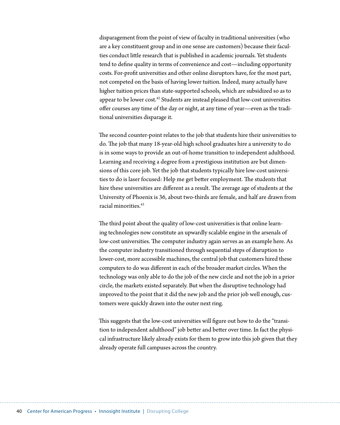disparagement from the point of view of faculty in traditional universities (who are a key constituent group and in one sense are customers) because their faculties conduct little research that is published in academic journals. Yet students tend to define quality in terms of convenience and cost—including opportunity costs. For-profit universities and other online disruptors have, for the most part, not competed on the basis of having lower tuition. Indeed, many actually have higher tuition prices than state-supported schools, which are subsidized so as to appear to be lower cost.<sup>42</sup> Students are instead pleased that low-cost universities offer courses any time of the day or night, at any time of year—even as the traditional universities disparage it.

The second counter-point relates to the job that students hire their universities to do. The job that many 18-year-old high school graduates hire a university to do is in some ways to provide an out-of-home transition to independent adulthood. Learning and receiving a degree from a prestigious institution are but dimensions of this core job. Yet the job that students typically hire low-cost universities to do is laser focused: Help me get better employment. The students that hire these universities are different as a result. The average age of students at the University of Phoenix is 36, about two-thirds are female, and half are drawn from racial minorities<sup>43</sup>

The third point about the quality of low-cost universities is that online learning technologies now constitute an upwardly scalable engine in the arsenals of low-cost universities. The computer industry again serves as an example here. As the computer industry transitioned through sequential steps of disruption to lower-cost, more accessible machines, the central job that customers hired these computers to do was different in each of the broader market circles. When the technology was only able to do the job of the new circle and not the job in a prior circle, the markets existed separately. But when the disruptive technology had improved to the point that it did the new job and the prior job well enough, customers were quickly drawn into the outer next ring.

This suggests that the low-cost universities will figure out how to do the "transition to independent adulthood" job better and better over time. In fact the physical infrastructure likely already exists for them to grow into this job given that they already operate full campuses across the country.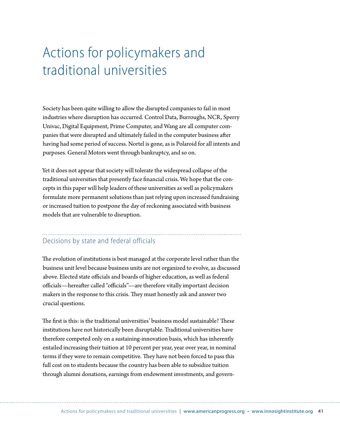# Actions for policymakers and traditional universities

Society has been quite willing to allow the disrupted companies to fail in most industries where disruption has occurred. Control Data, Burroughs, NCR, Sperry Univac, Digital Equipment, Prime Computer, and Wang are all computer companies that were disrupted and ultimately failed in the computer business after having had some period of success. Nortel is gone, as is Polaroid for all intents and purposes. General Motors went through bankruptcy, and so on.

Yet it does not appear that society will tolerate the widespread collapse of the traditional universities that presently face financial crisis. We hope that the concepts in this paper will help leaders of these universities as well as policymakers formulate more permanent solutions than just relying upon increased fundraising or increased tuition to postpone the day of reckoning associated with business models that are vulnerable to disruption.

## Decisions by state and federal officials

The evolution of institutions is best managed at the corporate level rather than the business unit level because business units are not organized to evolve, as discussed above. Elected state officials and boards of higher education, as well as federal officials—hereafter called "officials"—are therefore vitally important decision makers in the response to this crisis. They must honestly ask and answer two crucial questions.

The first is this: is the traditional universities' business model sustainable? These institutions have not historically been disruptable. Traditional universities have therefore competed only on a sustaining-innovation basis, which has inherently entailed increasing their tuition at 10 percent per year, year over year, in nominal terms if they were to remain competitive. They have not been forced to pass this full cost on to students because the country has been able to subsidize tuition through alumni donations, earnings from endowment investments, and govern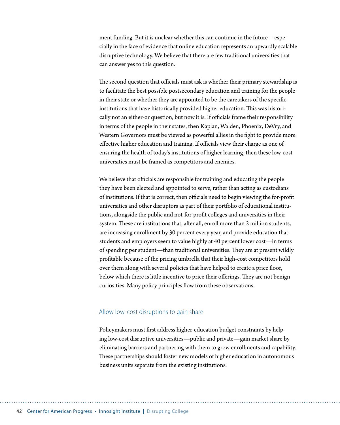ment funding. But it is unclear whether this can continue in the future—especially in the face of evidence that online education represents an upwardly scalable disruptive technology. We believe that there are few traditional universities that can answer yes to this question.

The second question that officials must ask is whether their primary stewardship is to facilitate the best possible postsecondary education and training for the people in their state or whether they are appointed to be the caretakers of the specific institutions that have historically provided higher education. This was historically not an either-or question, but now it is. If officials frame their responsibility in terms of the people in their states, then Kaplan, Walden, Phoenix, DeVry, and Western Governors must be viewed as powerful allies in the fight to provide more effective higher education and training. If officials view their charge as one of ensuring the health of today's institutions of higher learning, then these low-cost universities must be framed as competitors and enemies.

We believe that officials are responsible for training and educating the people they have been elected and appointed to serve, rather than acting as custodians of institutions. If that is correct, then officials need to begin viewing the for-profit universities and other disruptors as part of their portfolio of educational institutions, alongside the public and not-for-profit colleges and universities in their system. These are institutions that, after all, enroll more than 2 million students, are increasing enrollment by 30 percent every year, and provide education that students and employers seem to value highly at 40 percent lower cost—in terms of spending per student—than traditional universities. They are at present wildly profitable because of the pricing umbrella that their high-cost competitors hold over them along with several policies that have helped to create a price floor, below which there is little incentive to price their offerings. They are not benign curiosities. Many policy principles flow from these observations.

#### Allow low-cost disruptions to gain share

Policymakers must first address higher-education budget constraints by helping low-cost disruptive universities—public and private—gain market share by eliminating barriers and partnering with them to grow enrollments and capability. These partnerships should foster new models of higher education in autonomous business units separate from the existing institutions.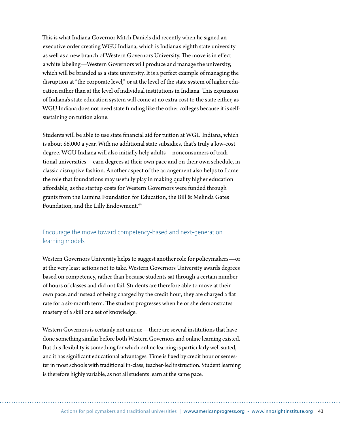This is what Indiana Governor Mitch Daniels did recently when he signed an executive order creating WGU Indiana, which is Indiana's eighth state university as well as a new branch of Western Governors University. The move is in effect a white labeling—Western Governors will produce and manage the university, which will be branded as a state university. It is a perfect example of managing the disruption at "the corporate level," or at the level of the state system of higher education rather than at the level of individual institutions in Indiana. This expansion of Indiana's state education system will come at no extra cost to the state either, as WGU Indiana does not need state funding like the other colleges because it is selfsustaining on tuition alone.

Students will be able to use state financial aid for tuition at WGU Indiana, which is about \$6,000 a year. With no additional state subsidies, that's truly a low-cost degree. WGU Indiana will also initially help adults—nonconsumers of traditional universities—earn degrees at their own pace and on their own schedule, in classic disruptive fashion. Another aspect of the arrangement also helps to frame the role that foundations may usefully play in making quality higher education affordable, as the startup costs for Western Governors were funded through grants from the Lumina Foundation for Education, the Bill & Melinda Gates Foundation, and the Lilly Endowment.<sup>44</sup>

### Encourage the move toward competency-based and next-generation learning models

Western Governors University helps to suggest another role for policymakers—or at the very least actions not to take. Western Governors University awards degrees based on competency, rather than because students sat through a certain number of hours of classes and did not fail. Students are therefore able to move at their own pace, and instead of being charged by the credit hour, they are charged a flat rate for a six-month term. The student progresses when he or she demonstrates mastery of a skill or a set of knowledge.

Western Governors is certainly not unique—there are several institutions that have done something similar before both Western Governors and online learning existed. But this flexibility is something for which online learning is particularly well suited, and it has significant educational advantages. Time is fixed by credit hour or semester in most schools with traditional in-class, teacher-led instruction. Student learning is therefore highly variable, as not all students learn at the same pace.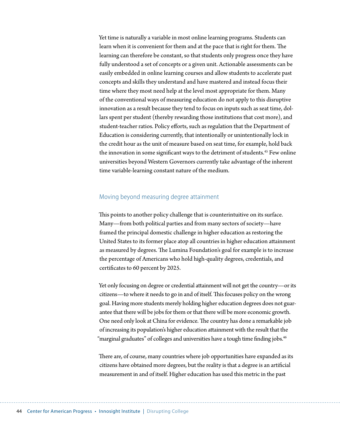Yet time is naturally a variable in most online learning programs. Students can learn when it is convenient for them and at the pace that is right for them. The learning can therefore be constant, so that students only progress once they have fully understood a set of concepts or a given unit. Actionable assessments can be easily embedded in online learning courses and allow students to accelerate past concepts and skills they understand and have mastered and instead focus their time where they most need help at the level most appropriate for them. Many of the conventional ways of measuring education do not apply to this disruptive innovation as a result because they tend to focus on inputs such as seat time, dollars spent per student (thereby rewarding those institutions that cost more), and student-teacher ratios. Policy efforts, such as regulation that the Department of Education is considering currently, that intentionally or unintentionally lock in the credit hour as the unit of measure based on seat time, for example, hold back the innovation in some significant ways to the detriment of students.<sup>45</sup> Few online universities beyond Western Governors currently take advantage of the inherent time variable-learning constant nature of the medium.

#### Moving beyond measuring degree attainment

This points to another policy challenge that is counterintuitive on its surface. Many—from both political parties and from many sectors of society—have framed the principal domestic challenge in higher education as restoring the United States to its former place atop all countries in higher education attainment as measured by degrees. The Lumina Foundation's goal for example is to increase the percentage of Americans who hold high-quality degrees, credentials, and certificates to 60 percent by 2025.

Yet only focusing on degree or credential attainment will not get the country—or its citizens—to where it needs to go in and of itself. This focuses policy on the wrong goal. Having more students merely holding higher education degrees does not guarantee that there will be jobs for them or that there will be more economic growth. One need only look at China for evidence. The country has done a remarkable job of increasing its population's higher education attainment with the result that the "marginal graduates" of colleges and universities have a tough time finding jobs. $^{46}$ 

There are, of course, many countries where job opportunities have expanded as its citizens have obtained more degrees, but the reality is that a degree is an artificial measurement in and of itself. Higher education has used this metric in the past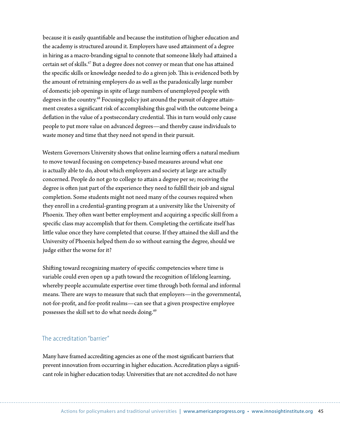because it is easily quantifiable and because the institution of higher education and the academy is structured around it. Employers have used attainment of a degree in hiring as a macro-branding signal to connote that someone likely had attained a certain set of skills.<sup>47</sup> But a degree does not convey or mean that one has attained the specific skills or knowledge needed to do a given job. This is evidenced both by the amount of retraining employers do as well as the paradoxically large number of domestic job openings in spite of large numbers of unemployed people with degrees in the country.<sup>48</sup> Focusing policy just around the pursuit of degree attainment creates a significant risk of accomplishing this goal with the outcome being a deflation in the value of a postsecondary credential. This in turn would only cause people to put more value on advanced degrees—and thereby cause individuals to waste money and time that they need not spend in their pursuit.

Western Governors University shows that online learning offers a natural medium to move toward focusing on competency-based measures around what one is actually able to do, about which employers and society at large are actually concerned. People do not go to college to attain a degree per se; receiving the degree is often just part of the experience they need to fulfill their job and signal completion. Some students might not need many of the courses required when they enroll in a credential-granting program at a university like the University of Phoenix. They often want better employment and acquiring a specific skill from a specific class may accomplish that for them. Completing the certificate itself has little value once they have completed that course. If they attained the skill and the University of Phoenix helped them do so without earning the degree, should we judge either the worse for it?

Shifting toward recognizing mastery of specific competencies where time is variable could even open up a path toward the recognition of lifelong learning, whereby people accumulate expertise over time through both formal and informal means. There are ways to measure that such that employers—in the governmental, not-for-profit, and for-profit realms—can see that a given prospective employee possesses the skill set to do what needs doing.49

#### The accreditation "barrier"

Many have framed accrediting agencies as one of the most significant barriers that prevent innovation from occurring in higher education. Accreditation plays a significant role in higher education today. Universities that are not accredited do not have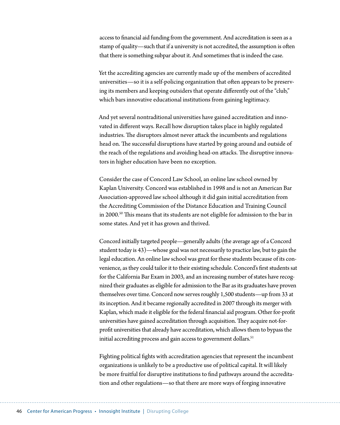access to financial aid funding from the government. And accreditation is seen as a stamp of quality—such that if a university is not accredited, the assumption is often that there is something subpar about it. And sometimes that is indeed the case.

Yet the accrediting agencies are currently made up of the members of accredited universities—so it is a self-policing organization that often appears to be preserving its members and keeping outsiders that operate differently out of the "club," which bars innovative educational institutions from gaining legitimacy.

And yet several nontraditional universities have gained accreditation and innovated in different ways. Recall how disruption takes place in highly regulated industries. The disruptors almost never attack the incumbents and regulations head on. The successful disruptions have started by going around and outside of the reach of the regulations and avoiding head-on attacks. The disruptive innovators in higher education have been no exception.

Consider the case of Concord Law School, an online law school owned by Kaplan University. Concord was established in 1998 and is not an American Bar Association-approved law school although it did gain initial accreditation from the Accrediting Commission of the Distance Education and Training Council in 2000.<sup>50</sup> This means that its students are not eligible for admission to the bar in some states. And yet it has grown and thrived.

Concord initially targeted people—generally adults (the average age of a Concord student today is 43)—whose goal was not necessarily to practice law, but to gain the legal education. An online law school was great for these students because of its convenience, as they could tailor it to their existing schedule. Concord's first students sat for the California Bar Exam in 2003, and an increasing number of states have recognized their graduates as eligible for admission to the Bar as its graduates have proven themselves over time. Concord now serves roughly 1,500 students—up from 33 at its inception. And it became regionally accredited in 2007 through its merger with Kaplan, which made it eligible for the federal financial aid program. Other for-profit universities have gained accreditation through acquisition. They acquire not-forprofit universities that already have accreditation, which allows them to bypass the initial accrediting process and gain access to government dollars.<sup>51</sup>

Fighting political fights with accreditation agencies that represent the incumbent organizations is unlikely to be a productive use of political capital. It will likely be more fruitful for disruptive institutions to find pathways around the accreditation and other regulations—so that there are more ways of forging innovative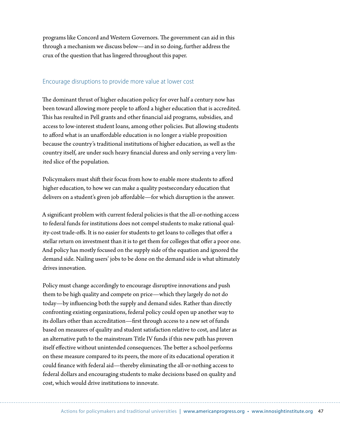programs like Concord and Western Governors. The government can aid in this through a mechanism we discuss below—and in so doing, further address the crux of the question that has lingered throughout this paper.

#### Encourage disruptions to provide more value at lower cost

The dominant thrust of higher education policy for over half a century now has been toward allowing more people to afford a higher education that is accredited. This has resulted in Pell grants and other financial aid programs, subsidies, and access to low-interest student loans, among other policies. But allowing students to afford what is an unaffordable education is no longer a viable proposition because the country's traditional institutions of higher education, as well as the country itself, are under such heavy financial duress and only serving a very limited slice of the population.

Policymakers must shift their focus from how to enable more students to afford higher education, to how we can make a quality postsecondary education that delivers on a student's given job affordable—for which disruption is the answer.

A significant problem with current federal policies is that the all-or-nothing access to federal funds for institutions does not compel students to make rational quality-cost trade-offs. It is no easier for students to get loans to colleges that offer a stellar return on investment than it is to get them for colleges that offer a poor one. And policy has mostly focused on the supply side of the equation and ignored the demand side. Nailing users' jobs to be done on the demand side is what ultimately drives innovation.

Policy must change accordingly to encourage disruptive innovations and push them to be high quality and compete on price—which they largely do not do today—by influencing both the supply and demand sides. Rather than directly confronting existing organizations, federal policy could open up another way to its dollars other than accreditation—first through access to a new set of funds based on measures of quality and student satisfaction relative to cost, and later as an alternative path to the mainstream Title IV funds if this new path has proven itself effective without unintended consequences. The better a school performs on these measure compared to its peers, the more of its educational operation it could finance with federal aid—thereby eliminating the all-or-nothing access to federal dollars and encouraging students to make decisions based on quality and cost, which would drive institutions to innovate.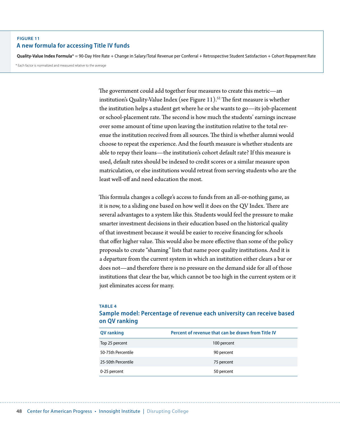#### **Figure 11 A new formula for accessing Title IV funds**

**Quality-Value Index Formula**\* = 90-Day Hire Rate + Change in Salary/Total Revenue per Conferral + Retrospective Student Satisfaction + Cohort Repayment Rate

\* Each factor is normalized and measured relative to the average

The government could add together four measures to create this metric—an institution's Quality-Value Index (see Figure 11).<sup>52</sup> The first measure is whether the institution helps a student get where he or she wants to go—its job-placement or school-placement rate. The second is how much the students' earnings increase over some amount of time upon leaving the institution relative to the total revenue the institution received from all sources. The third is whether alumni would choose to repeat the experience. And the fourth measure is whether students are able to repay their loans—the institution's cohort default rate? If this measure is used, default rates should be indexed to credit scores or a similar measure upon matriculation, or else institutions would retreat from serving students who are the least well-off and need education the most.

This formula changes a college's access to funds from an all-or-nothing game, as it is now, to a sliding one based on how well it does on the QV Index. There are several advantages to a system like this. Students would feel the pressure to make smarter investment decisions in their education based on the historical quality of that investment because it would be easier to receive financing for schools that offer higher value. This would also be more effective than some of the policy proposals to create "shaming" lists that name poor quality institutions. And it is a departure from the current system in which an institution either clears a bar or does not—and therefore there is no pressure on the demand side for all of those institutions that clear the bar, which cannot be too high in the current system or it just eliminates access for many.

#### **Table 4**

#### **Sample model: Percentage of revenue each university can receive based on QV ranking**

| QV ranking         | Percent of revenue that can be drawn from Title IV |
|--------------------|----------------------------------------------------|
| Top 25 percent     | 100 percent                                        |
| 50-75th Percentile | 90 percent                                         |
| 25-50th Percentile | 75 percent                                         |
| 0-25 percent       | 50 percent                                         |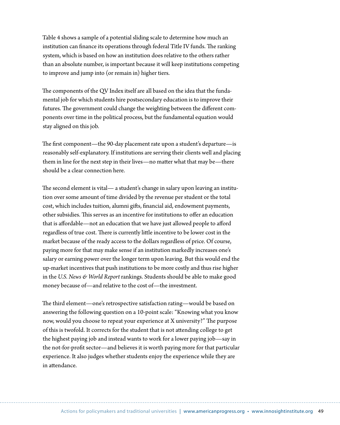Table 4 shows a sample of a potential sliding scale to determine how much an institution can finance its operations through federal Title IV funds. The ranking system, which is based on how an institution does relative to the others rather than an absolute number, is important because it will keep institutions competing to improve and jump into (or remain in) higher tiers.

The components of the QV Index itself are all based on the idea that the fundamental job for which students hire postsecondary education is to improve their futures. The government could change the weighting between the different components over time in the political process, but the fundamental equation would stay aligned on this job.

The first component—the 90-day placement rate upon a student's departure—is reasonably self-explanatory. If institutions are serving their clients well and placing them in line for the next step in their lives—no matter what that may be—there should be a clear connection here.

The second element is vital— a student's change in salary upon leaving an institution over some amount of time divided by the revenue per student or the total cost, which includes tuition, alumni gifts, financial aid, endowment payments, other subsidies. This serves as an incentive for institutions to offer an education that is affordable—not an education that we have just allowed people to afford regardless of true cost. There is currently little incentive to be lower cost in the market because of the ready access to the dollars regardless of price. Of course, paying more for that may make sense if an institution markedly increases one's salary or earning power over the longer term upon leaving. But this would end the up-market incentives that push institutions to be more costly and thus rise higher in the *U.S. News & World Report* rankings. Students should be able to make good money because of—and relative to the cost of—the investment.

The third element—one's retrospective satisfaction rating—would be based on answering the following question on a 10-point scale: "Knowing what you know now, would you choose to repeat your experience at X university?" The purpose of this is twofold. It corrects for the student that is not attending college to get the highest paying job and instead wants to work for a lower paying job—say in the not-for-profit sector—and believes it is worth paying more for that particular experience. It also judges whether students enjoy the experience while they are in attendance.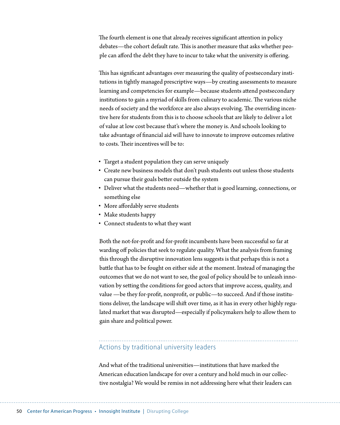The fourth element is one that already receives significant attention in policy debates—the cohort default rate. This is another measure that asks whether people can afford the debt they have to incur to take what the university is offering.

This has significant advantages over measuring the quality of postsecondary institutions in tightly managed prescriptive ways—by creating assessments to measure learning and competencies for example—because students attend postsecondary institutions to gain a myriad of skills from culinary to academic. The various niche needs of society and the workforce are also always evolving. The overriding incentive here for students from this is to choose schools that are likely to deliver a lot of value at low cost because that's where the money is. And schools looking to take advantage of financial aid will have to innovate to improve outcomes relative to costs. Their incentives will be to:

- Target a student population they can serve uniquely
- Create new business models that don't push students out unless those students can pursue their goals better outside the system
- Deliver what the students need—whether that is good learning, connections, or something else
- More affordably serve students
- Make students happy
- • Connect students to what they want

Both the not-for-profit and for-profit incumbents have been successful so far at warding off policies that seek to regulate quality. What the analysis from framing this through the disruptive innovation lens suggests is that perhaps this is not a battle that has to be fought on either side at the moment. Instead of managing the outcomes that we do not want to see, the goal of policy should be to unleash innovation by setting the conditions for good actors that improve access, quality, and value —be they for-profit, nonprofit, or public—to succeed. And if those institutions deliver, the landscape will shift over time, as it has in every other highly regulated market that was disrupted—especially if policymakers help to allow them to gain share and political power.

### Actions by traditional university leaders

And what of the traditional universities—institutions that have marked the American education landscape for over a century and hold much in our collective nostalgia? We would be remiss in not addressing here what their leaders can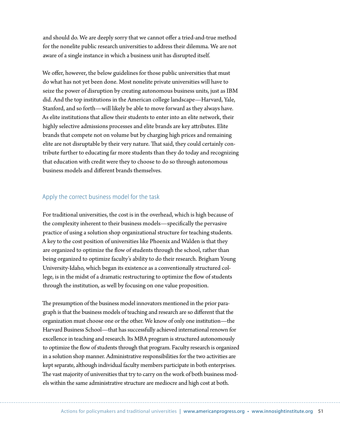and should do. We are deeply sorry that we cannot offer a tried-and-true method for the nonelite public research universities to address their dilemma. We are not aware of a single instance in which a business unit has disrupted itself.

We offer, however, the below guidelines for those public universities that must do what has not yet been done. Most nonelite private universities will have to seize the power of disruption by creating autonomous business units, just as IBM did. And the top institutions in the American college landscape—Harvard, Yale, Stanford, and so forth—will likely be able to move forward as they always have. As elite institutions that allow their students to enter into an elite network, their highly selective admissions processes and elite brands are key attributes. Elite brands that compete not on volume but by charging high prices and remaining elite are not disruptable by their very nature. That said, they could certainly contribute further to educating far more students than they do today and recognizing that education with credit were they to choose to do so through autonomous business models and different brands themselves.

#### Apply the correct business model for the task

For traditional universities, the cost is in the overhead, which is high because of the complexity inherent to their business models—specifically the pervasive practice of using a solution shop organizational structure for teaching students. A key to the cost position of universities like Phoenix and Walden is that they are organized to optimize the flow of students through the school, rather than being organized to optimize faculty's ability to do their research. Brigham Young University-Idaho, which began its existence as a conventionally structured college, is in the midst of a dramatic restructuring to optimize the flow of students through the institution, as well by focusing on one value proposition.

The presumption of the business model innovators mentioned in the prior paragraph is that the business models of teaching and research are so different that the organization must choose one or the other. We know of only one institution—the Harvard Business School—that has successfully achieved international renown for excellence in teaching and research. Its MBA program is structured autonomously to optimize the flow of students through that program. Faculty research is organized in a solution shop manner. Administrative responsibilities for the two activities are kept separate, although individual faculty members participate in both enterprises. The vast majority of universities that try to carry on the work of both business models within the same administrative structure are mediocre and high cost at both.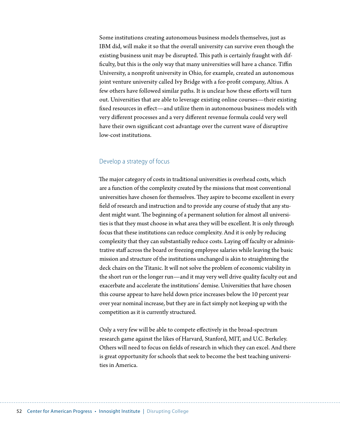Some institutions creating autonomous business models themselves, just as IBM did, will make it so that the overall university can survive even though the existing business unit may be disrupted. This path is certainly fraught with difficulty, but this is the only way that many universities will have a chance. Tiffin University, a nonprofit university in Ohio, for example, created an autonomous joint venture university called Ivy Bridge with a for-profit company, Altius. A few others have followed similar paths. It is unclear how these efforts will turn out. Universities that are able to leverage existing online courses—their existing fixed resources in effect—and utilize them in autonomous business models with very different processes and a very different revenue formula could very well have their own significant cost advantage over the current wave of disruptive low-cost institutions.

#### Develop a strategy of focus

The major category of costs in traditional universities is overhead costs, which are a function of the complexity created by the missions that most conventional universities have chosen for themselves. They aspire to become excellent in every field of research and instruction and to provide any course of study that any student might want. The beginning of a permanent solution for almost all universities is that they must choose in what area they will be excellent. It is only through focus that these institutions can reduce complexity. And it is only by reducing complexity that they can substantially reduce costs. Laying off faculty or administrative staff across the board or freezing employee salaries while leaving the basic mission and structure of the institutions unchanged is akin to straightening the deck chairs on the Titanic. It will not solve the problem of economic viability in the short run or the longer run—and it may very well drive quality faculty out and exacerbate and accelerate the institutions' demise. Universities that have chosen this course appear to have held down price increases below the 10 percent year over year nominal increase, but they are in fact simply not keeping up with the competition as it is currently structured.

Only a very few will be able to compete effectively in the broad-spectrum research game against the likes of Harvard, Stanford, MIT, and U.C. Berkeley. Others will need to focus on fields of research in which they can excel. And there is great opportunity for schools that seek to become the best teaching universities in America.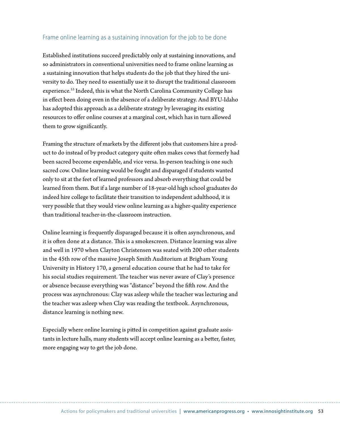#### Frame online learning as a sustaining innovation for the job to be done

Established institutions succeed predictably only at sustaining innovations, and so administrators in conventional universities need to frame online learning as a sustaining innovation that helps students do the job that they hired the university to do. They need to essentially use it to disrupt the traditional classroom experience.<sup>53</sup> Indeed, this is what the North Carolina Community College has in effect been doing even in the absence of a deliberate strategy. And BYU-Idaho has adopted this approach as a deliberate strategy by leveraging its existing resources to offer online courses at a marginal cost, which has in turn allowed them to grow significantly.

Framing the structure of markets by the different jobs that customers hire a product to do instead of by product category quite often makes cows that formerly had been sacred become expendable, and vice versa. In-person teaching is one such sacred cow. Online learning would be fought and disparaged if students wanted only to sit at the feet of learned professors and absorb everything that could be learned from them. But if a large number of 18-year-old high school graduates do indeed hire college to facilitate their transition to independent adulthood, it is very possible that they would view online learning as a higher-quality experience than traditional teacher-in-the-classroom instruction.

Online learning is frequently disparaged because it is often asynchronous, and it is often done at a distance. This is a smokescreen. Distance learning was alive and well in 1970 when Clayton Christensen was seated with 200 other students in the 45th row of the massive Joseph Smith Auditorium at Brigham Young University in History 170, a general education course that he had to take for his social studies requirement. The teacher was never aware of Clay's presence or absence because everything was "distance" beyond the fifth row. And the process was asynchronous: Clay was asleep while the teacher was lecturing and the teacher was asleep when Clay was reading the textbook. Asynchronous, distance learning is nothing new.

Especially where online learning is pitted in competition against graduate assistants in lecture halls, many students will accept online learning as a better, faster, more engaging way to get the job done.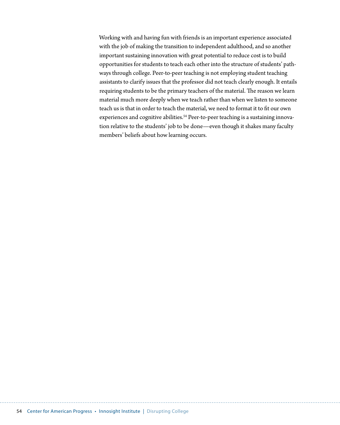Working with and having fun with friends is an important experience associated with the job of making the transition to independent adulthood, and so another important sustaining innovation with great potential to reduce cost is to build opportunities for students to teach each other into the structure of students' pathways through college. Peer-to-peer teaching is not employing student teaching assistants to clarify issues that the professor did not teach clearly enough. It entails requiring students to be the primary teachers of the material. The reason we learn material much more deeply when we teach rather than when we listen to someone teach us is that in order to teach the material, we need to format it to fit our own experiences and cognitive abilities.<sup>54</sup> Peer-to-peer teaching is a sustaining innovation relative to the students' job to be done—even though it shakes many faculty members' beliefs about how learning occurs.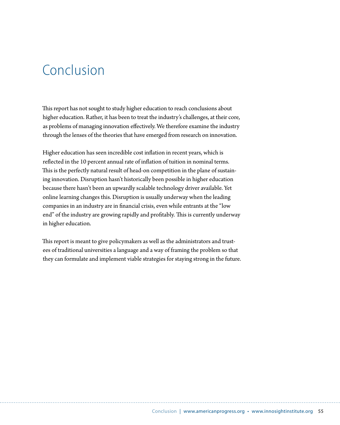# Conclusion

This report has not sought to study higher education to reach conclusions about higher education. Rather, it has been to treat the industry's challenges, at their core, as problems of managing innovation effectively. We therefore examine the industry through the lenses of the theories that have emerged from research on innovation.

Higher education has seen incredible cost inflation in recent years, which is reflected in the 10 percent annual rate of inflation of tuition in nominal terms. This is the perfectly natural result of head-on competition in the plane of sustaining innovation. Disruption hasn't historically been possible in higher education because there hasn't been an upwardly scalable technology driver available. Yet online learning changes this. Disruption is usually underway when the leading companies in an industry are in financial crisis, even while entrants at the "low end" of the industry are growing rapidly and profitably. This is currently underway in higher education.

This report is meant to give policymakers as well as the administrators and trustees of traditional universities a language and a way of framing the problem so that they can formulate and implement viable strategies for staying strong in the future.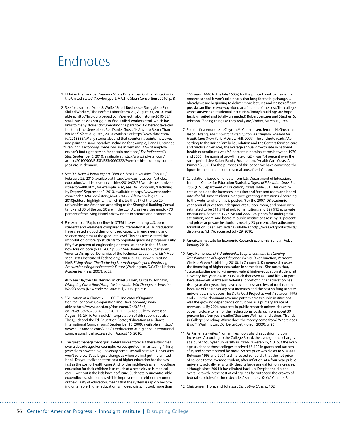# Endnotes

- 1 I. Elaine Allen and Jeff Seaman,"Class Differences: Online Education in the United States"(Newburyport, MA,The Sloan Consortium, 2010) p. 8.
- 2 See for example Dr. Ira S. Wolfe,"Small Businesses Struggle to Find Skilled Workers,"The Perfect Labor Storm 2.0, August 31, 2010, available at [http://hrblog.typepad.com/perfect\\_labor\\_storm/2010/08/](http://hrblog.typepad.com/perfect_labor_storm/2010/08/small-businesses-struggle-to-find-skilled-workers.html) [small-businesses-struggle-to-find-skilled-workers.html](http://hrblog.typepad.com/perfect_labor_storm/2010/08/small-businesses-struggle-to-find-skilled-workers.html), which has links to many stories documenting the paradox. A different take can be found in a *Slate* piece. See Daniel Gross,"Is Any Job Better Than No Job?" *Slate*, August 9, 2010, available at [http://www.slate.com/](http://www.slate.com/id/2263335/) [id/2263335/.](http://www.slate.com/id/2263335/) Many stories abound that counter its points, however, and paint the same paradox, including for example, Dana Hunsinger, "Even in this economy, some jobs are in demand: 22% of employers can't find right person for certain positions," *The Indianapolis Star*, September 6, 2010, available at http://www.indystar.com/ article/20100906/BUSINESS/9060322/Even-in-this-economy-somejobs-are-in-demand.
- 3 See *U.S. News & World Report,*"World's Best Universities: Top 400," February 25, 2010, available at http://www.usnews.com/articles/ education/worlds-best-universities/2010/02/25/worlds-best-universities-top-400.html, for example. Also, see *The Economist*,"Declining by Degree," September 2, 2010, available at [http://www.economist.](http://www.economist.com/node/16941775?story_id=16941775&fsrc=nlw|hig|09-02-2010|editors_highlights) [com/node/16941775?story\\_id=16941775&fsrc=nlw|hig|09-02-](http://www.economist.com/node/16941775?story_id=16941775&fsrc=nlw|hig|09-02-2010|editors_highlights) [2010|editors\\_highlights,](http://www.economist.com/node/16941775?story_id=16941775&fsrc=nlw|hig|09-02-2010|editors_highlights) in which it cites that 17 of the top 20 universities are American according to the Shanghai Ranking Consultancy and 35 of the top 50 are in the U.S. U.S. universities employ 70 percent of the living Nobel prizewinners in science and economics.
- 4 For example,"Rapid declines in STEM interest among U.S. born students and weakness compared to international STEM graduation have created a good deal of unused capacity in engineering and science programs at the graduate level. This has necessitated the importation of foreign students to populate graduate programs. Fully fifty five percent of engineering doctoral students in the U.S. are now foreign born (NAE, 2007 p. 35)." See Daniel Joseph Sturtevant, "America Disrupted: Dynamics of the Technical Capability Crisis"(Massachusetts Institute of Technology, 2008), p. 31. His work is citing NAE, *Rising Above The Gathering Storm: Energizing and Employing America for a Brighter Economic Future* (Washington, D.C.: The National Academies Press, 2007), p. 35.

Also see Clayton Christensen, Michael B. Horn, Curtis W. Johnson, *Disrupting Class: How Disruptive Innovation Will Change the Way the World Learns* (New York: McGraw-Hill, 2008), pp. 5-6.

- 5 "Education at a Glance 2009: OECD Indicators,"Organisation for Economic Co-operation and Development," available at http://www.oecd.org/document/24/0,3343, en\_2649\_39263238\_43586328\_1\_1\_1\_37455,00.html, accessed August 16, 2010. For a quick interpretation of this report, see also The Quick and the Ed, Education Sector,"Education at a Glance: International Comparisons," September 10, 2009, available at [http://](http://www.quickanded.com/2009/09/education-at-a-glance-international-comparisons.html) [www.quickanded.com/2009/09/education-at-a-glance-international](http://www.quickanded.com/2009/09/education-at-a-glance-international-comparisons.html)[comparisons.html,](http://www.quickanded.com/2009/09/education-at-a-glance-international-comparisons.html) accessed on August 16, 2010.
- 6 The great management guru Peter Drucker forecast these struggles over a decade ago. For example, Forbes quoted him as saying:"Thirty years from now the big university campuses will be relics. Universities won't survive. It's as large a change as when we first got the printed book. Do you realize that the cost of higher education has risen as fast as the cost of health care? And for the middle-class family, college education for their children is as much of a necessity as is medical care—without it the kids have no future. Such totally uncontrollable expenditures, without any visible improvement in either the content or the quality of education, means that the system is rapidly becoming untenable. Higher education is in deep crisis...It took more than

200 years (1440 to the late 1600s) for the printed book to create the modern school. It won't take nearly that long for the big change. … Already we are beginning to deliver more lectures and classes off campus via satellite or two-way video at a fraction of the cost. The college won't survive as a residential institution. Today's buildings are hopelessly unsuited and totally unneeded."Robert Lenzner and Stephen S. Johnson,"Seeing things as they really are,"*Forbes*, March 10, 1997.

- 7 See the first endnote in Clayton M. Christensen, Jerome H. Grossman, Jason Hwang, *The Innovator's Prescription, A Disruptive Solution for Health Care* (New York: McGraw-Hill, 2009). The endnote reads:"According to the Kaiser Family Foundation and the Centers for Medicare and Medicaid Services, the average annual growth rate in national health expenditures was 9.8 percent in nominal terms between 1970 and 2005. The nominal growth rate of GDP was 7.4 percent over the same period. See Kaiser Family Foundation, "Health Care Costs: A Primer"(2007). For the purposes of this paper, we have converted the figure from a nominal one to a real one, after inflation.
- 8 Calculations based off of data from U.S. Department of Education, National Center for Education Statistics, *Digest of Education Statistics, 2008* (U.S. Department of Education, 2009), [Table](http://nces.ed.gov/programs/digest/d08/tables/dt08_331.asp) 331. This cost increase includes the increases in tuition and fees and room and board rates for full-time students in degree-granting institutions. According to the website where this is posted,"For the 2007–08 academic year, annual prices for undergraduate tuition, room, and board were estimated to be \$11,578 at public institutions and \$29,915 at private institutions. Between 1997–98 and 2007–08, prices for undergraduate tuition, room, and board at public institutions rose by 30 percent, and prices at private institutions rose by 23 percent, after adjustment for inflation." See "Fast Facts," available at [http://nces.ed.gov/fastfacts/](http://nces.ed.gov/fastfacts/display.asp?id=76) [display.asp?id=76](http://nces.ed.gov/fastfacts/display.asp?id=76), accessed July 29, 2010.
- 9 American Institute for Economic Research Economic Bulletin, Vol. L, January 2010.
- 10 Anya Kamenetz, *DIY U: Edupunks, Edupreneurs, and the Coming Transformation of Higher Education* (White River Junction, Vermont: Chelsea Green Publishing, 2010). In Chapter 3, Kamenetz discusses the financing of higher education in some detail. She notes that, "State subsidies per full-time-equivalent higher-education student hit a twenty-five-year low in 2005" such that even as-and likely in part because—Pell Grants and federal support of higher education has risen year after year, they have covered less and less of total tuition because of the university cost increases and the cost shifting at state universities. She quotes The Delta Cost Project as well:"Between 1995 and 2006 the dominant revenue pattern across public institutions was the growing dependence on tuitions as a primary source of revenue. … By 2006, students in public research universities were covering close to half of their educational costs, up from about 39 percent just four years earlier." See Jane Wellman and others,"Trends in College Spending: Where does the money come from? Where does it go?"(Washington, DC: Delta Cost Project, 2009), p. 26.
- 11 As Kamenetz writes:"For families, too, subsidies cushion tuition increases. According to the College Board, the average total charges at a public four-year university in 2009-10 were \$15,213, but the average student at those colleges received \$5,400 in grants and tax benefits, and some received far more. So net price was closer to \$10,000. Between 1993 and 2004, aid increased so rapidly that the net price of college to the average student, after inflation, at a four-year public university actually fell slightly despite large annual tuition increases, although since 2004 it has climbed back up. Despite the dip, the overall growth in the cost of college has far outpaced the growth of federal subsidies for three decades."Kamenetz, *DIY U*, Chapter 3.

12 Christensen, Horn, and Johnson, *Disrupting Class*, p. 102.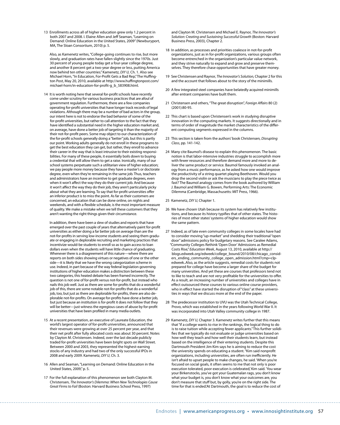13 Enrollments across all of higher education grew only 1.2 percent in both 2007 and 2008. I. Elaine Allen and Jeff Seaman,"Learning on Demand: Online Education in the United States, 2009"(Newburyport, MA, The Sloan Consortium, 2010) p. 5.

Also, as Kamenetz writes,"College-going continues to rise, but more slowly, and graduation rates have fallen slightly since the 1970s. Just 30 percent of young people today get a four-year college degree, and another 8 percent get a two-year degree or less, putting America now behind ten other countries."Kamenetz, *DIY U,* Ch. 1. Also see Michael Horn,"In Education, For-Profit Gets a Bad Rep,"The Huffington Post, May 20, 2010, available at http://www.huffingtonpost.com/ michael-horn/in-education-for-profit-g\_b\_583908.html.

14 It is worth noting here that several for-profit schools have recently come under scrutiny for various business practices that are afoul of government regulation. Furthermore, there are a few companies operating for-profit universities that have longer track records of legal violations. Although there may be a number of bad actors in the group, our intent here is not to endorse the bad behavior of some of the for-profit universities, but rather to call attention to the fact that they have identified a substantial need in the higher education market and, on average, have done a better job of targeting it than the majority of their not-for-profit peers. Some may object to our characterization of the for-profit schools generally doing a "better" job, but this is partly our point. Working adults generally do not enroll in these programsto get the best education they can get, but rather, they enroll to advance their career in the way that is least intrusive to their existing responsibilities. For many of these people, it essentially boils down to buying a credential that will allow them to get a raise. Ironically, many of our school systems perpetuate such a utilitarian view of higher education; we pay people more money because they have a master's or doctorate degree, even when they're remaining in the same job. Thus, teachers and administrators have an incentive to get graduate degrees, even when it won't affect the way they do their current job. And because it won't affect the way they do their job, they aren't particularly picky about what they are learning. To say that for-profit universities offer an inferior product is to miss the point. As far as their customers are concerned, an education that can be done online, on nights and weekends, and with a flexible schedule, is the most important measure of quality. We make a mistake when we tell these customers that they aren't wanting the right things given their circumstance.

In addition, there have been a slew of studies and reports that have emerged over the past couple of years that alternatively paint for-profit universities as either doing a far better job on average than are the not-for-profits in serving low-income students and seeing them graduate or engaging in deplorable recruiting and marketing practices that incentivize would-be students to enroll so as to gain access to loan dollars even when the students will have little chance of graduating. Whenever there is a disagreement of this nature—where there are reports on both sides showing virtues or negatives of one or the other side—it is likely that we have the wrong categorization scheme in use. Indeed, in part because of the way federal legislation governing institutions of higher education makes a distinction between these two categories, this heated debate has been framed incorrectly. The question is not one of for-profit versus not-for-profit, but instead who nails this job well. Just as there are some for-profits that do a wonderful job of this, there are some notable not-for-profits that do a wonderful job, too, but just as there are deplorable for-profits, there are also deplorable not-for-profits. On average for-profits have done a better job, but just because an institution is for-profit it does not follow that they will be better-just witness the egregious cases of abuse by for-profit universities that have been profiled in many media outlets.

- 15 At a recent presentation, an executive of Laureate Education, the world's largest operator of for-profit universities, announced that their revenues were growing at over 25 percent per year, and that their net profit after fully allocated costs was about 30 percent. Notes by Clayton M. Christensen. Indeed, over the last decade publicly traded for-profit universities have been bright spots on Wall Street. Between 2000 and 2003, they represented the highest-earning stocks of any industry and had two of the only successful IPOs in 2008 and early 2009. Kamenetz, *DIY U,* Ch. 3.
- 16 Allen and Seaman,"Learning on Demand: Online Education in the United States, 2009," p. 5.
- 17 For the full explanation of this phenomenon see both Clayton M. Christensen, *The Innovator's Dilemma: When New Technologies Cause Great Firms to Fail* (Boston: Harvard Business School Press, 1997)

and Clayton M. Christensen and Michael E. Raynor, *The Innovator's Solution: Creating and Sustaining Successful Growth* (Boston: Harvard Business Press, 2003), Chapter 2.

- 18 In addition, as processes and priorities coalesce in not-for-profit organizations, just as in for-profit organizations, various groups often become entrenched in the organization's particular value network, and they strive naturally to expand and grow and preserve themselves. They therefore chase opportunities that have greater money.
- 19 See Christensen and Raynor, *The Innovator's Solution,* Chapter 2 for this and the account that follows about to the story of the minimills.
- 20 A few integrated steel companies have belatedly acquired minimills after entrant companies have built them.
- 21 Christensen and others,"The great disruption", *Foreign Affairs* 80 (2) (2001):80-95.
- 22 This chart is based upon Christensen's work in studying disruptive innovation in the computing markets. It suggests directionally and in terms of order of magnitude the market characteristics of the different computing segments expressed in the columns.
- 23 This section is taken from the authors'book Christensen*, Disrupting Class*, pp. 141-142.
- 24 Many cite Baumol's disease to explain this phenomenon. The basic notion is that labor-intensive industries struggle to accomplish more with fewer resources and therefore demand more and more to deliver the same product or service. Baumol famously invoked an analogy from a music performance, as he asked how one would improve the productivity of a string quartet playing Beethoven. Would you drop the second violin or ask the musicians to play the piece twice as fast? The Baumol analogy comes from the book authored by William J. Baumol and William G. Bowen, Performing Arts: The Economic Dilemma (Cambridge, Massachusetts: MIT Press, 1966).
- 25 Kamenetz, *DIY U,* Chapter 1.
- 26 We have chosen Utah because its system has relatively few institutions, and because its history typifies that of other states. The histories of most other states'systems of higher education would show the same pattern.
- 27 Indeed, as of late even community colleges in some locales have had to consider moving"up-market" and shedding their traditional"open door" admissions policy for budgetary reasons. See Caralee Adams, "Community Colleges Rethink 'Open Door'Admissions as Remedial Costs Rise," *Education Week*, August 13, 2010, available at http:// blogs.edweek.org/edweek/college\_bound/2010/08/chicago\_considers\_ending\_community\_college\_open\_admission.html?cmp=clpedweek..Also, as the article suggests, remedial costs for students not prepared for college have become a larger share of the budget for many universities. And yet these are courses that professors tend not to like to teach and are not very profitable for the universities to offer. As a result, an increasing number of universities and colleges have in effect outsourced these courses to various online course providers, who in effect have started the disruption of "class" at these universities in ways that we discuss more at the end of the paper.
- 28 The predecessor institution to UVU was the Utah Technical College, Provo, which was established in the years following World War II. It was incorporated into Utah Valley community college in 1987.
- 29 Kamenetz, *DIY U,* Chapter 3. Kamenetz writes further that this means that"if a college wants to rise in the rankings, the logical thing to do is to raise tuition while accepting fewer applicants."This further solidifies that we typically do not evaluate or judge universities based on how well they teach and how well their students learn, but instead based on the intelligence of their entering students. Despite this Dartmouth President Jim Kim says he is aiming to reduce the cost the university spends on educating a student."Kim said nonprofit organizations, including universities, are often run inefficiently. He isn't afraid to upset people to make changes, he said. 'When you're focused on social goals, it often seems to me that not only is poor execution tolerated, poor execution is celebrated,'Kim said. 'You wear your Birkenstocks, you've got your Guatemalan rags, you don't know what your budget is, you don't know what your outcomes are, you don't measure that stuff but, by golly, you're on the right side. The time for that is ended.'At Dartmouth, the goal is to reduce the cost of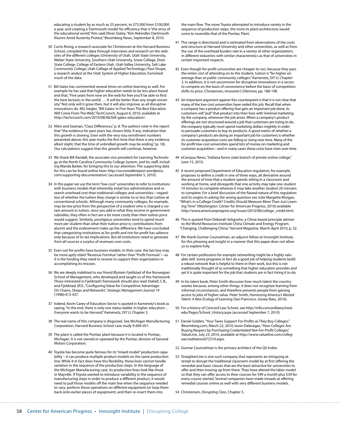educating a student by as much as 25 percent, to \$75,000 from \$100,000 a year, and creating a 'Dartmouth model'for efficiency that is"the envy of the educational world,"Kim said.Oliver Staley,"Kim Rekindles Dartmouth Alumni Amid Austerity Protest,"Bloomberg News, September 8, 2010.

- 30 Curtis Rising, a research associate for Christensen at the Harvard Business School, compiled this data through interviews and research on the websites of the different colleges [\(University](http://www.utah.edu/) of Utah, Utah State [University](http://www.usu.edu/), Weber State [University](http://www.weber.edu/), Southern Utah [University,](http://www.suu.edu/) Snow [College](http://www.snow.edu/), [Dixie](http://www.dixie.edu/) State [College](http://www.dixie.edu/), [College](http://www.ceu.edu/) of Eastern Utah, Utah Valley [University](http://www.uvu.edu/), Salt [Lake](http://www.slcc.edu/) [Community](http://www.slcc.edu/) College, Utah College of Applied [Technology](http://www.ucat.edu/).) Paul Shupe, a research analyst at the Utah System of Higher Education, furnished much of the data.
- 31 Bill Gates has commented several times on online learning as well. For example he has said that higher education needs to be less place based and that,"Five years from now on the web for free you'll be able to find the best lectures in the world. … It will be better than any single university."Not only will it grow then, but it will also improve, as all disruptive innovations do. MG Siegler,"Bill Gates: In Five Years The Best Education Will Come From The Web,"TechCrunch, August 6, 2010, available at http://techcrunch.com/2010/08/06/bill-gates-education/.
- 32 Allen and Seaman,"Class Differences,"p. 8. The authors note in the report that"the evidence for past years has shown little, if any, indication that this growth is slowing. Even with the very rosy enrollment numbers presented above, this year marks the first time that there is any evidence, albeit slight, that the time of unbridled growth may be ending."(p. 18). Our calculations suggest that this growth will continue, however.
- 33 We thank Bill Randall, the associate vice president for Learning Technology at the North Carolina Community College System, and his staff, including Wanda Barker, for bringing this to our attention. The supporting data for this can be found online here: [http://oscmoodlereport.wordpress.](http://oscmoodlereport.wordpress.com/supporting-documentation/) [com/supporting-documentation/](http://oscmoodlereport.wordpress.com/supporting-documentation/) (accessed September 5, 2010).
- 34 In this paper we use the term"low-cost"universitiesto refer to institutions with business models that inherently entail less administrative and research overhead cost than traditional colleges and universities—regardless of whether the tuition they charge is similar to or less than tuition at conventional schools. Although many community colleges, for example, may be low price from the perspective of a student who is charged a certain amount in tuition, once you add in what they receive in government subsidies, they often in fact are a lot more costly than their tuition price would suggest. Similarly, prestigious universities tend to spend much more per student than what their tuition price is; contributions from alumni and the endowment make up the difference. We have concluded that categorizing institutions as for-profit and not-for-profit has salience only because of its tax implications. But all institutions need to generate from all sources a surplus of revenues over costs.
- 35 Even not-for-profits have business models. In their case, the last box may be more aptly titled "Revenue Formlua" rather than "Profit Formula"-as it is the funding they need to receive to support their organization in accomplishing its mission.
- 36 We are deeply indebted to our friend Øystein Fjeldstad of the Norwegian School of Management, who developed and taught us of this framework. Those interested in Fjeldstad's framework should also read Stabell, C.B., and Fjeldstad, Ø.D.,"Configuring Value for Competitive Advantage: On Chains, Shops and Networks", *Strategic Management Journal* 19 (1998):413-437.
- 37 Indeed, Kevin Carey of Education Sector is quoted in Kamenetz's book as saying,"In the end, there is only one status ladder in higher education… Everyone wants to be Harvard."Kamenetz, *DIY U,* Chapter 3.
- 38 The real name of this company is disguised. See Michigan Manufacturing Corporation, Harvard Business School case study 9-694-051.
- 39 The plant is called the Pontiac plant because it is located in Pontiac, Michigan. It is not owned or operated by the Pontiac division of General Motors Corporation.
- 40 Toyota has become quite famous for its "mixed model" production capability – it can produce multiple product models on the same production line. While it in fact does have this flexibility, those lines cannot handle variation in the sequence of the production steps. In the language of the Michigan Manufacturing case, its production lines look like those in Mayville. If Toyota wanted to introduce variability in the sequence of manufacturing steps in order to produce a different product, it would need to pull those models off the main line when the sequence needed to vary; perform those operations on different equipment (or loop them back onto earlier pieces of equipment); and then re-insert them into

the main flow. The more Toyota attempted to introduce variety in the sequence of production steps, the more its plant architecture would come to resemble that of the Pontiac Plant.

- 41 This range is directional and is estimated from observations of the costs and structure at Harvard University and other universities, as well as from the use of the overhead burden rate in a variety of other organizations in different industries with similar characteristics as that of universities in certain important respects.
- 42 Even though for-profit universities are cheaper to run, because they pass the entire cost of attending on to the student, tuition is "far higher on average than at public community colleges."Kamenetz, *DIY U,* Chapter 3. In addition, it is not uncommon for disruptive innovations in a sector to compete on the basis of convenience before the basis of competition shifts to price. Christensen, *Innovator's Dilemma,* pp. 188-198.
- 43 An important argument against this counterpoint is that it is not clear that many of the low-cost universities have nailed this job. Recall that when a company has a product offering that gets an important job done, its customers will "pull" that product into their lives with minimal marketing by the company, whenever the job arises. When a company's product offerings are not structured around a job that customers are trying to do, the company typically must spend marketing dollars mightily in order to persuade customers to buy its products. A good metric of whether a company's products are doing an important job for customers is whether its customer acquisition costs are falling or rising over time. Many of the for-profit low-cost universities spend lots of money on marketing and customer acquisition—and in many cases these costs have risen over time.
- 44 eCampus News, "Indiana forms state branch of private online college," June 15, 2010.
- 45 A recent proposed Department of Education regulation, for example, proposes to define a credit in one of three ways, all derivative around the amount of time that a student spends sitting in a classroom and working at home, and disregards that one activity may take one student 10 minutes to complete whereas it may take another student 20 minutes to complete. For a brief discussion of the flawed nature of this regulation and its origins in asking the wrong question see Julie Margetta Morgan, "What's in a College Credit? Credits Should Measure More Than Just Learning Time"(Washington: Center for American Progress, 2010) available http://www.americanprogress.org/issues/2010/08/college\_credit.html.
- 46 This is quoted from Deborah Seligsohn, a China-based principle adviser to the World Resources Institute China Climate and Energy Program. "Changing, Challenging China,"*Harvard Magazine*, March-April 2010, p. 32.
- 47 We thank Gunnar Counselman, an adjunct fellow at Innosight Institute, for this phrasing and insight in a manner that this paper does not allow us to explore fully.
- 48 For certain professions for example networking might be a highly valuable skill. Some programs in fact do a good job of helping students build a robust network that is helpful to them in their work, but this is not traditionally thought of as something that higher education provides and yet it is quite important for the job that students are in fact hiring it to do.
- 49 In his latest book, Peter Smith discusses how much talent the country wastes because, among other things, it does not recognize learning from informal circumstances, and therefore prevents people from gaining access to jobs of higher value. Peter Smith, *Harnessing America's Wasted Talent: A New Ecology of Learning* (San Francisco: Jossey-Bass, 2010).
- 50 For a history of Concord Law School, see [http://info.concordlawschool.](http://info.concordlawschool.edu/Pages/School_History.aspx) [edu/Pages/School\\_History.aspx](http://info.concordlawschool.edu/Pages/School_History.aspx) (accessed September 7, 2010)
- 51 Daniel Golden,"Your Taxes Support For-Profits as They Buy Colleges," Bloomberg.com, March 22, 2010; Iason Dalavagas,"How Colleges Are Buying Respect by Purchasing Credentialed Not-For-Profit Colleges," ValueLine, July 23, 2010, available at http://www.valueline.com/collegeaccreditation072310.aspx.
- 52 Gunnar Counselman is the primary architect of the QV Index.
- 53 StraighterLine is one such company that represents an intriguing attempt to disrupt the traditional classroom model by at first offering the remedial and basic classes that are the least attractive for universities to offer and then moving up from there. They have altered the labor model so that they can offer access to their courses for \$99 a month plus \$39 for every course started. Several companies have made inroads at offering remedial courses online as well with very different business models.
- 54 Christensen, *Disrupting Class*, Chapter 5.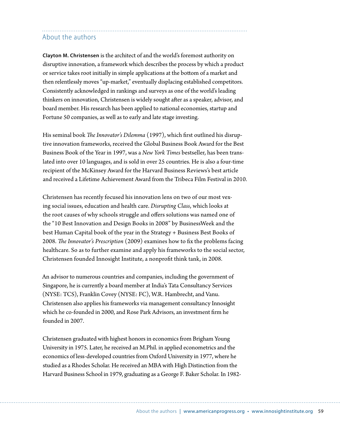### About the authors

**Clayton M. Christensen** is the architect of and the world's foremost authority on disruptive innovation, a framework which describes the process by which a product or service takes root initially in simple applications at the bottom of a market and then relentlessly moves "up-market," eventually displacing established competitors. Consistently acknowledged in rankings and surveys as one of the world's leading thinkers on innovation, Christensen is widely sought after as a speaker, advisor, and board member. His research has been applied to national economies, startup and Fortune 50 companies, as well as to early and late stage investing.

His seminal book *The Innovator's Dilemma* (1997), which first outlined his disruptive innovation frameworks, received the Global Business Book Award for the Best Business Book of the Year in 1997, was a *New York Times* bestseller, has been translated into over 10 languages, and is sold in over 25 countries. He is also a four-time recipient of the McKinsey Award for the Harvard Business Reviews's best article and received a Lifetime Achievement Award from the Tribeca Film Festival in 2010.

Christensen has recently focused his innovation lens on two of our most vexing social issues, education and health care. *Disrupting Class*, which looks at the root causes of why schools struggle and offers solutions was named one of the "10 Best Innovation and Design Books in 2008" by BusinessWeek and the best Human Capital book of the year in the Strategy + Business Best Books of 2008. *The Innovator's Prescription* (2009) examines how to fix the problems facing healthcare. So as to further examine and apply his frameworks to the social sector, Christensen founded Innosight Institute, a nonprofit think tank, in 2008.

An advisor to numerous countries and companies, including the government of Singapore, he is currently a board member at India's Tata Consultancy Services (NYSE: TCS), Franklin Covey (NYSE: FC), W.R. Hambrecht, and Vanu. Christensen also applies his frameworks via management consultancy Innosight which he co-founded in 2000, and Rose Park Advisors, an investment firm he founded in 2007.

Christensen graduated with highest honors in economics from Brigham Young University in 1975. Later, he received an M.Phil. in applied econometrics and the economics of less-developed countries from Oxford University in 1977, where he studied as a Rhodes Scholar. He received an MBA with High Distinction from the Harvard Business School in 1979, graduating as a George F. Baker Scholar. In 1982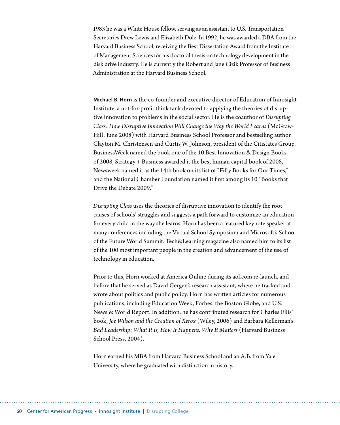1983 he was a White House fellow, serving as an assistant to U.S. Transportation Secretaries Drew Lewis and Elizabeth Dole. In 1992, he was awarded a DBA from the Harvard Business School, receiving the Best Dissertation Award from the Institute of Management Sciences for his doctoral thesis on technology development in the disk drive industry. He is currently the Robert and Jane Cizik Professor of Business Administration at the Harvard Business School.

**Michael B. Horn** is the co-founder and executive director of Education of Innosight Institute, a not-for-profit think tank devoted to applying the theories of disruptive innovation to problems in the social sector. He is the coauthor of *[Disrupting](http://www.disruptingclass.com/)  [Class: How Disruptive Innovation Will Change the Way the World Learns](http://www.disruptingclass.com/)* (McGraw-Hill: June 2008) with Harvard Business School Professor and bestselling author Clayton M. Christensen and Curtis W. Johnson, president of the Citistates Group. BusinessWeek named the book one of the 10 [Best Innovation & Design Books](http://images.businessweek.com/ss/08/12/1215_best_design_books/4.htm)  [of 2008](http://images.businessweek.com/ss/08/12/1215_best_design_books/4.htm), Strategy + Business awarded it the best human capital book of 2008, Newsweek named it as the 14th book on its list of "[Fifty Books for Our Times,](http://www.newsweek.com/id/204300)" and the National Chamber Foundation named it first among its 10 ["Books that](http://ncf.uschamber.com/books_2009/)  [Drive the Debate 2009.](http://ncf.uschamber.com/books_2009/)"

*Disrupting Class* uses the theories of disruptive innovation to identify the root causes of schools' struggles and suggests a path forward to customize an education for every child in the way she learns. Horn has been a featured keynote speaker at many conferences including the Virtual School Symposium and Microsoft's School of the Future World Summit. Tech&Learning magazine also named him to its list of the 100 most important people in the creation and advancement of the use of technology in education.

Prior to this, Horn worked at America Online during its aol.com re-launch, and before that he served as David Gergen's research assistant, where he tracked and wrote about politics and public policy. Horn has written articles for numerous publications, including Education Week, Forbes, the Boston Globe, and U.S. News & World Report. In addition, he has contributed research for Charles Ellis' book, *Joe Wilson and the Creation of Xerox* (Wiley, 2006) and Barbara Kellerman's *Bad Leadership: What It Is, How It Happens, Why It Matters* (Harvard Business School Press, 2004).

Horn earned his MBA from Harvard Business School and an A.B. from Yale University, where he graduated with distinction in history.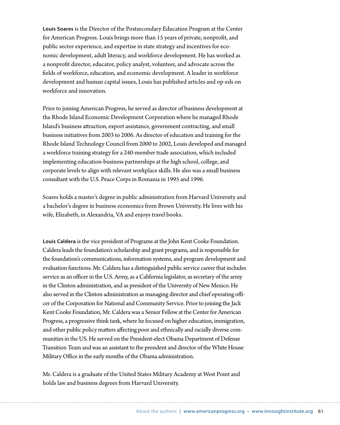**Louis Soares** is the Director of the Postsecondary Education Program at the Center for American Progress. Louis brings more than 15 years of private, nonprofit, and public sector experience, and expertise in state strategy and incentives for economic development, adult literacy, and workforce development. He has worked as a nonprofit director, educator, policy analyst, volunteer, and advocate across the fields of workforce, education, and economic development. A leader in workforce development and human capital issues, Louis has published articles and op-eds on workforce and innovation.

Prior to joining American Progress, he served as director of business development at the Rhode Island Economic Development Corporation where he managed Rhode Island's business attraction, export assistance, government contracting, and small business initiatives from 2003 to 2006. As director of education and training for the Rhode Island Technology Council from 2000 to 2002, Louis developed and managed a workforce training strategy for a 240-member trade association, which included implementing education-business partnerships at the high school, college, and corporate levels to align with relevant workplace skills. He also was a small business consultant with the U.S. Peace Corps in Romania in 1995 and 1996.

Soares holds a master's degree in public administration from Harvard University and a bachelor's degree in business economics from Brown University. He lives with his wife, Elizabeth, in Alexandria, VA and enjoys travel books.

**Louis Caldera** is the vice president of Programs at the John Kent Cooke Foundation. Caldera leads the foundation's scholarship and grant programs, and is responsible for the foundation's communications, information systems, and program development and evaluation functions. Mr. Caldera has a distinguished public service career that includes service as an officer in the U.S. Army, as a California legislator, as secretary of the army in the Clinton administration, and as president of the University of New Mexico. He also served in the Clinton administration as managing director and chief operating officer of the Corporation for National and Community Service. Prior to joining the Jack Kent Cooke Foundation, Mr. Caldera was a Senior Fellow at the Center for American Progress, a progressive think tank, where he focused on higher education, immigration, and other public policy matters affecting poor and ethnically and racially diverse communities in the US. He served on the President-elect Obama Department of Defense Transition Team and was an assistant to the president and director of the White House Military Office in the early months of the Obama administration.

Mr. Caldera is a graduate of the United States Military Academy at West Point and holds law and business degrees from Harvard University.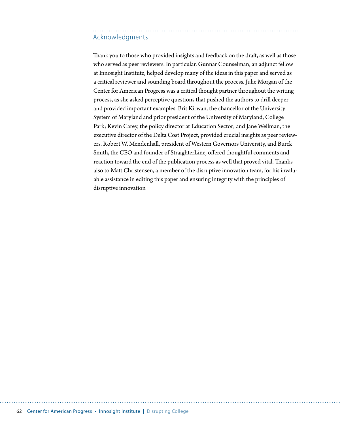### Acknowledgments

Thank you to those who provided insights and feedback on the draft, as well as those who served as peer reviewers. In particular, Gunnar Counselman, an adjunct fellow at Innosight Institute, helped develop many of the ideas in this paper and served as a critical reviewer and sounding board throughout the process. Julie Morgan of the Center for American Progress was a critical thought partner throughout the writing process, as she asked perceptive questions that pushed the authors to drill deeper and provided important examples. Brit Kirwan, the chancellor of the University System of Maryland and prior president of the University of Maryland, College Park; Kevin Carey, the policy director at Education Sector; and Jane Wellman, the executive director of the Delta Cost Project, provided crucial insights as peer reviewers. Robert W. Mendenhall, president of Western Governors University, and Burck Smith, the CEO and founder of StraighterLine, offered thoughtful comments and reaction toward the end of the publication process as well that proved vital. Thanks also to Matt Christensen, a member of the disruptive innovation team, for his invaluable assistance in editing this paper and ensuring integrity with the principles of disruptive innovation